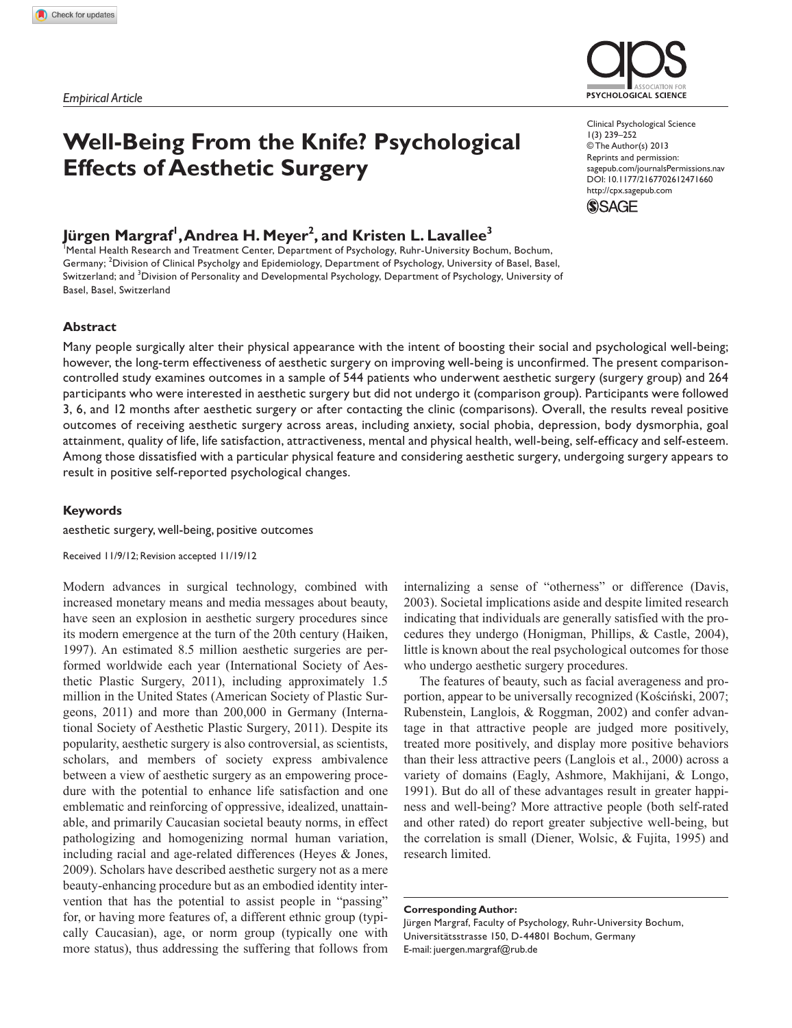# **Well-Being From the Knife? Psychological Effects of Aesthetic Surgery**

## Jürgen Margraf<sup>I</sup>,Andrea H. Meyer<sup>2</sup>, and Kristen L. Lavallee<sup>3</sup>

1 Mental Health Research and Treatment Center, Department of Psychology, Ruhr-University Bochum, Bochum, Germany; <sup>2</sup>Division of Clinical Psycholgy and Epidemiology, Department of Psychology, University of Basel, Basel, Switzerland; and <sup>3</sup>Division of Personality and Developmental Psychology, Department of Psychology, University of Basel, Basel, Switzerland

#### **Abstract**

Many people surgically alter their physical appearance with the intent of boosting their social and psychological well-being; however, the long-term effectiveness of aesthetic surgery on improving well-being is unconfirmed. The present comparisoncontrolled study examines outcomes in a sample of 544 patients who underwent aesthetic surgery (surgery group) and 264 participants who were interested in aesthetic surgery but did not undergo it (comparison group). Participants were followed 3, 6, and 12 months after aesthetic surgery or after contacting the clinic (comparisons). Overall, the results reveal positive outcomes of receiving aesthetic surgery across areas, including anxiety, social phobia, depression, body dysmorphia, goal attainment, quality of life, life satisfaction, attractiveness, mental and physical health, well-being, self-efficacy and self-esteem. Among those dissatisfied with a particular physical feature and considering aesthetic surgery, undergoing surgery appears to result in positive self-reported psychological changes.

#### **Keywords**

aesthetic surgery, well-being, positive outcomes

Received 11/9/12; Revision accepted 11/19/12

Modern advances in surgical technology, combined with increased monetary means and media messages about beauty, have seen an explosion in aesthetic surgery procedures since its modern emergence at the turn of the 20th century (Haiken, 1997). An estimated 8.5 million aesthetic surgeries are performed worldwide each year (International Society of Aesthetic Plastic Surgery, 2011), including approximately 1.5 million in the United States (American Society of Plastic Surgeons, 2011) and more than 200,000 in Germany (International Society of Aesthetic Plastic Surgery, 2011). Despite its popularity, aesthetic surgery is also controversial, as scientists, scholars, and members of society express ambivalence between a view of aesthetic surgery as an empowering procedure with the potential to enhance life satisfaction and one emblematic and reinforcing of oppressive, idealized, unattainable, and primarily Caucasian societal beauty norms, in effect pathologizing and homogenizing normal human variation, including racial and age-related differences (Heyes & Jones, 2009). Scholars have described aesthetic surgery not as a mere beauty-enhancing procedure but as an embodied identity intervention that has the potential to assist people in "passing" for, or having more features of, a different ethnic group (typically Caucasian), age, or norm group (typically one with more status), thus addressing the suffering that follows from

internalizing a sense of "otherness" or difference (Davis, 2003). Societal implications aside and despite limited research indicating that individuals are generally satisfied with the procedures they undergo (Honigman, Phillips, & Castle, 2004), little is known about the real psychological outcomes for those who undergo aesthetic surgery procedures.

The features of beauty, such as facial averageness and proportion, appear to be universally recognized (Kościński, 2007; Rubenstein, Langlois, & Roggman, 2002) and confer advantage in that attractive people are judged more positively, treated more positively, and display more positive behaviors than their less attractive peers (Langlois et al., 2000) across a variety of domains (Eagly, Ashmore, Makhijani, & Longo, 1991). But do all of these advantages result in greater happiness and well-being? More attractive people (both self-rated and other rated) do report greater subjective well-being, but the correlation is small (Diener, Wolsic, & Fujita, 1995) and research limited.

#### **Corresponding Author:**

Jürgen Margraf, Faculty of Psychology, Ruhr-University Bochum, Universitätsstrasse 150, D-44801 Bochum, Germany E-mail: juergen.margraf@rub.de



Clinical Psychological Science 1(3) 239–252 © The Author(s) 2013 Reprints and permission: sagepub.com/journalsPermissions.nav DOI: 10.1177/2167702612471660 http://cpx.sagepub.com

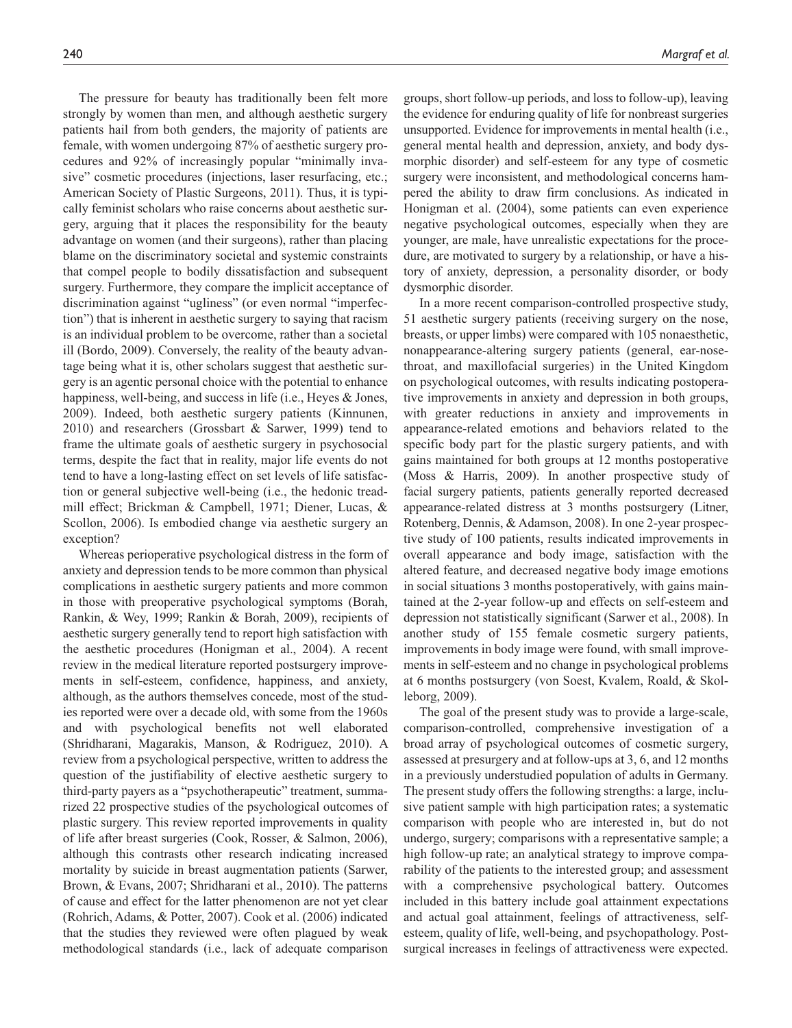The pressure for beauty has traditionally been felt more strongly by women than men, and although aesthetic surgery patients hail from both genders, the majority of patients are female, with women undergoing 87% of aesthetic surgery procedures and 92% of increasingly popular "minimally invasive" cosmetic procedures (injections, laser resurfacing, etc.; American Society of Plastic Surgeons, 2011). Thus, it is typically feminist scholars who raise concerns about aesthetic surgery, arguing that it places the responsibility for the beauty advantage on women (and their surgeons), rather than placing blame on the discriminatory societal and systemic constraints that compel people to bodily dissatisfaction and subsequent surgery. Furthermore, they compare the implicit acceptance of discrimination against "ugliness" (or even normal "imperfection") that is inherent in aesthetic surgery to saying that racism is an individual problem to be overcome, rather than a societal ill (Bordo, 2009). Conversely, the reality of the beauty advantage being what it is, other scholars suggest that aesthetic surgery is an agentic personal choice with the potential to enhance happiness, well-being, and success in life (i.e., Heyes & Jones, 2009). Indeed, both aesthetic surgery patients (Kinnunen, 2010) and researchers (Grossbart & Sarwer, 1999) tend to frame the ultimate goals of aesthetic surgery in psychosocial terms, despite the fact that in reality, major life events do not tend to have a long-lasting effect on set levels of life satisfaction or general subjective well-being (i.e., the hedonic treadmill effect; Brickman & Campbell, 1971; Diener, Lucas, & Scollon, 2006). Is embodied change via aesthetic surgery an exception?

Whereas perioperative psychological distress in the form of anxiety and depression tends to be more common than physical complications in aesthetic surgery patients and more common in those with preoperative psychological symptoms (Borah, Rankin, & Wey, 1999; Rankin & Borah, 2009), recipients of aesthetic surgery generally tend to report high satisfaction with the aesthetic procedures (Honigman et al., 2004). A recent review in the medical literature reported postsurgery improvements in self-esteem, confidence, happiness, and anxiety, although, as the authors themselves concede, most of the studies reported were over a decade old, with some from the 1960s and with psychological benefits not well elaborated (Shridharani, Magarakis, Manson, & Rodriguez, 2010). A review from a psychological perspective, written to address the question of the justifiability of elective aesthetic surgery to third-party payers as a "psychotherapeutic" treatment, summarized 22 prospective studies of the psychological outcomes of plastic surgery. This review reported improvements in quality of life after breast surgeries (Cook, Rosser, & Salmon, 2006), although this contrasts other research indicating increased mortality by suicide in breast augmentation patients (Sarwer, Brown, & Evans, 2007; Shridharani et al., 2010). The patterns of cause and effect for the latter phenomenon are not yet clear (Rohrich, Adams, & Potter, 2007). Cook et al. (2006) indicated that the studies they reviewed were often plagued by weak methodological standards (i.e., lack of adequate comparison

groups, short follow-up periods, and loss to follow-up), leaving the evidence for enduring quality of life for nonbreast surgeries unsupported. Evidence for improvements in mental health (i.e., general mental health and depression, anxiety, and body dysmorphic disorder) and self-esteem for any type of cosmetic surgery were inconsistent, and methodological concerns hampered the ability to draw firm conclusions. As indicated in Honigman et al. (2004), some patients can even experience negative psychological outcomes, especially when they are younger, are male, have unrealistic expectations for the procedure, are motivated to surgery by a relationship, or have a history of anxiety, depression, a personality disorder, or body dysmorphic disorder.

In a more recent comparison-controlled prospective study, 51 aesthetic surgery patients (receiving surgery on the nose, breasts, or upper limbs) were compared with 105 nonaesthetic, nonappearance-altering surgery patients (general, ear-nosethroat, and maxillofacial surgeries) in the United Kingdom on psychological outcomes, with results indicating postoperative improvements in anxiety and depression in both groups, with greater reductions in anxiety and improvements in appearance-related emotions and behaviors related to the specific body part for the plastic surgery patients, and with gains maintained for both groups at 12 months postoperative (Moss & Harris, 2009). In another prospective study of facial surgery patients, patients generally reported decreased appearance-related distress at 3 months postsurgery (Litner, Rotenberg, Dennis, & Adamson, 2008). In one 2-year prospective study of 100 patients, results indicated improvements in overall appearance and body image, satisfaction with the altered feature, and decreased negative body image emotions in social situations 3 months postoperatively, with gains maintained at the 2-year follow-up and effects on self-esteem and depression not statistically significant (Sarwer et al., 2008). In another study of 155 female cosmetic surgery patients, improvements in body image were found, with small improvements in self-esteem and no change in psychological problems at 6 months postsurgery (von Soest, Kvalem, Roald, & Skolleborg, 2009).

The goal of the present study was to provide a large-scale, comparison-controlled, comprehensive investigation of a broad array of psychological outcomes of cosmetic surgery, assessed at presurgery and at follow-ups at 3, 6, and 12 months in a previously understudied population of adults in Germany. The present study offers the following strengths: a large, inclusive patient sample with high participation rates; a systematic comparison with people who are interested in, but do not undergo, surgery; comparisons with a representative sample; a high follow-up rate; an analytical strategy to improve comparability of the patients to the interested group; and assessment with a comprehensive psychological battery. Outcomes included in this battery include goal attainment expectations and actual goal attainment, feelings of attractiveness, selfesteem, quality of life, well-being, and psychopathology. Postsurgical increases in feelings of attractiveness were expected.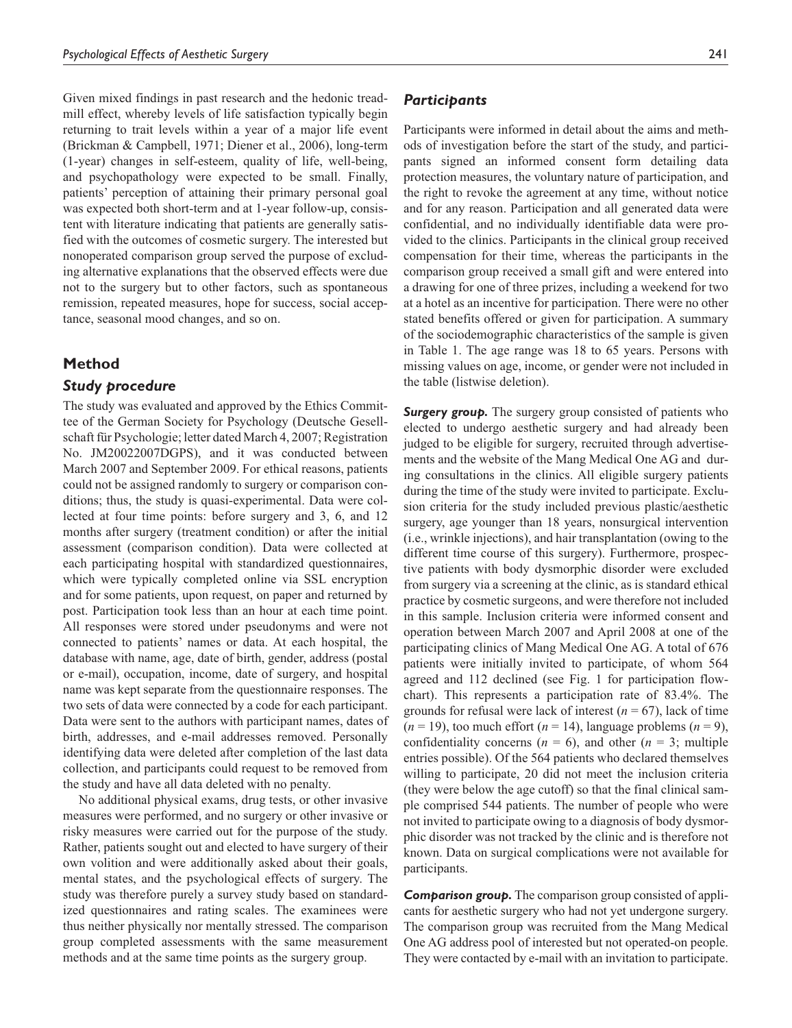Given mixed findings in past research and the hedonic treadmill effect, whereby levels of life satisfaction typically begin returning to trait levels within a year of a major life event (Brickman & Campbell, 1971; Diener et al., 2006), long-term (1-year) changes in self-esteem, quality of life, well-being, and psychopathology were expected to be small. Finally, patients' perception of attaining their primary personal goal was expected both short-term and at 1-year follow-up, consistent with literature indicating that patients are generally satisfied with the outcomes of cosmetic surgery. The interested but nonoperated comparison group served the purpose of excluding alternative explanations that the observed effects were due not to the surgery but to other factors, such as spontaneous remission, repeated measures, hope for success, social acceptance, seasonal mood changes, and so on.

## **Method**

## *Study procedure*

The study was evaluated and approved by the Ethics Committee of the German Society for Psychology (Deutsche Gesellschaft für Psychologie; letter dated March 4, 2007; Registration No. JM20022007DGPS), and it was conducted between March 2007 and September 2009. For ethical reasons, patients could not be assigned randomly to surgery or comparison conditions; thus, the study is quasi-experimental. Data were collected at four time points: before surgery and 3, 6, and 12 months after surgery (treatment condition) or after the initial assessment (comparison condition). Data were collected at each participating hospital with standardized questionnaires, which were typically completed online via SSL encryption and for some patients, upon request, on paper and returned by post. Participation took less than an hour at each time point. All responses were stored under pseudonyms and were not connected to patients' names or data. At each hospital, the database with name, age, date of birth, gender, address (postal or e-mail), occupation, income, date of surgery, and hospital name was kept separate from the questionnaire responses. The two sets of data were connected by a code for each participant. Data were sent to the authors with participant names, dates of birth, addresses, and e-mail addresses removed. Personally identifying data were deleted after completion of the last data collection, and participants could request to be removed from the study and have all data deleted with no penalty.

No additional physical exams, drug tests, or other invasive measures were performed, and no surgery or other invasive or risky measures were carried out for the purpose of the study. Rather, patients sought out and elected to have surgery of their own volition and were additionally asked about their goals, mental states, and the psychological effects of surgery. The study was therefore purely a survey study based on standardized questionnaires and rating scales. The examinees were thus neither physically nor mentally stressed. The comparison group completed assessments with the same measurement methods and at the same time points as the surgery group.

## *Participants*

Participants were informed in detail about the aims and methods of investigation before the start of the study, and participants signed an informed consent form detailing data protection measures, the voluntary nature of participation, and the right to revoke the agreement at any time, without notice and for any reason. Participation and all generated data were confidential, and no individually identifiable data were provided to the clinics. Participants in the clinical group received compensation for their time, whereas the participants in the comparison group received a small gift and were entered into a drawing for one of three prizes, including a weekend for two at a hotel as an incentive for participation. There were no other stated benefits offered or given for participation. A summary of the sociodemographic characteristics of the sample is given in Table 1. The age range was 18 to 65 years. Persons with missing values on age, income, or gender were not included in the table (listwise deletion).

**Surgery group.** The surgery group consisted of patients who elected to undergo aesthetic surgery and had already been judged to be eligible for surgery, recruited through advertisements and the website of the Mang Medical One AG and during consultations in the clinics. All eligible surgery patients during the time of the study were invited to participate. Exclusion criteria for the study included previous plastic/aesthetic surgery, age younger than 18 years, nonsurgical intervention (i.e., wrinkle injections), and hair transplantation (owing to the different time course of this surgery). Furthermore, prospective patients with body dysmorphic disorder were excluded from surgery via a screening at the clinic, as is standard ethical practice by cosmetic surgeons, and were therefore not included in this sample. Inclusion criteria were informed consent and operation between March 2007 and April 2008 at one of the participating clinics of Mang Medical One AG. A total of 676 patients were initially invited to participate, of whom 564 agreed and 112 declined (see Fig. 1 for participation flowchart). This represents a participation rate of 83.4%. The grounds for refusal were lack of interest  $(n = 67)$ , lack of time  $(n = 19)$ , too much effort  $(n = 14)$ , language problems  $(n = 9)$ , confidentiality concerns ( $n = 6$ ), and other ( $n = 3$ ; multiple entries possible). Of the 564 patients who declared themselves willing to participate, 20 did not meet the inclusion criteria (they were below the age cutoff) so that the final clinical sample comprised 544 patients. The number of people who were not invited to participate owing to a diagnosis of body dysmorphic disorder was not tracked by the clinic and is therefore not known. Data on surgical complications were not available for participants.

*Comparison group.* The comparison group consisted of applicants for aesthetic surgery who had not yet undergone surgery. The comparison group was recruited from the Mang Medical One AG address pool of interested but not operated-on people. They were contacted by e-mail with an invitation to participate.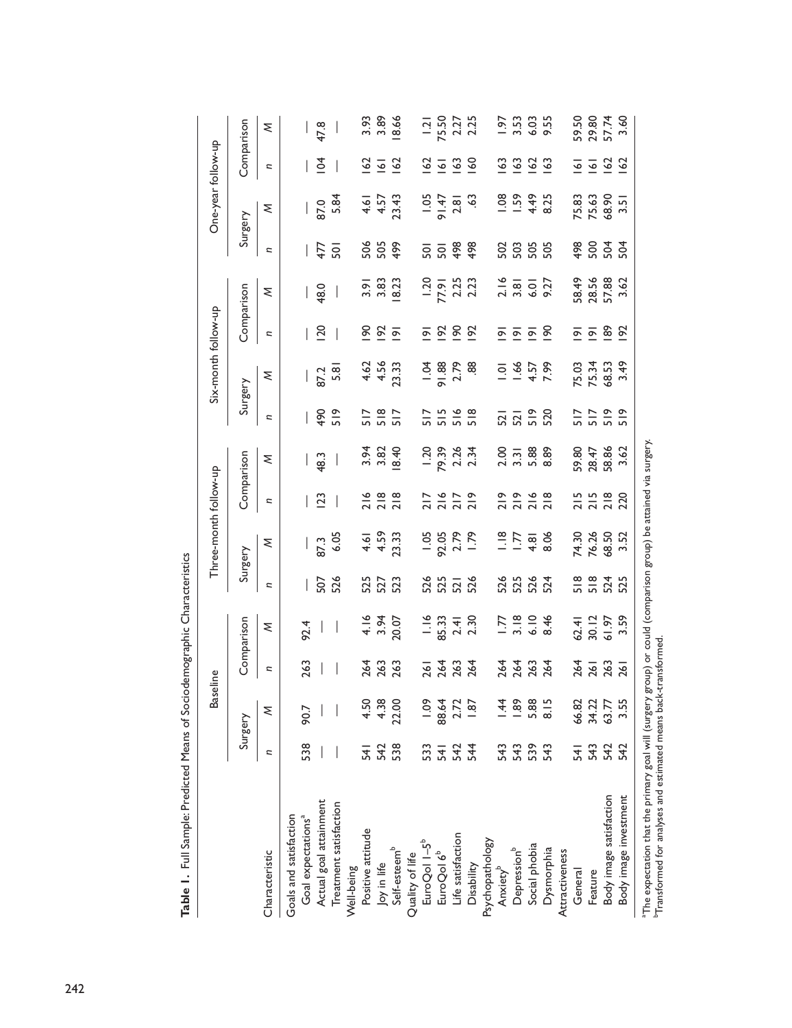|                                         |            | <b>Baseline</b>                 |                      |                                                    |                        | Three-month follow-up                               |                                   |                                                                                                                                                                                                                                                                                                                       |                                                         | Six-month follow-up                                                                 |                                                             |                                       |                | One-year follow-up                                          |                      |                                       |
|-----------------------------------------|------------|---------------------------------|----------------------|----------------------------------------------------|------------------------|-----------------------------------------------------|-----------------------------------|-----------------------------------------------------------------------------------------------------------------------------------------------------------------------------------------------------------------------------------------------------------------------------------------------------------------------|---------------------------------------------------------|-------------------------------------------------------------------------------------|-------------------------------------------------------------|---------------------------------------|----------------|-------------------------------------------------------------|----------------------|---------------------------------------|
|                                         |            | Surgery                         |                      | Comparison                                         |                        | Surgery                                             | Comparison                        |                                                                                                                                                                                                                                                                                                                       | Surgery                                                 |                                                                                     | Comparison                                                  |                                       | Surgery        |                                                             | Comparison           |                                       |
| Characteristic                          | Z,         | ź                               | Ξ                    | ξ                                                  | Z,                     | Σ                                                   | Ξ                                 | Σ                                                                                                                                                                                                                                                                                                                     | Ξ                                                       | Σ                                                                                   | Ξ                                                           | Σ                                     | Ξ              | Σ                                                           | u                    | ξ                                     |
| Goals and satisfaction                  |            |                                 |                      |                                                    |                        |                                                     |                                   |                                                                                                                                                                                                                                                                                                                       |                                                         |                                                                                     |                                                             |                                       |                |                                                             |                      |                                       |
| Goal expectations <sup>a</sup>          | 538        | 90.7                            | 263                  | 92.4                                               |                        |                                                     |                                   |                                                                                                                                                                                                                                                                                                                       |                                                         |                                                                                     |                                                             |                                       |                |                                                             |                      |                                       |
| Actual goal attainment                  |            |                                 |                      | $\overline{\phantom{a}}$                           |                        | 87.3<br>6.05                                        | 123                               | 48.3                                                                                                                                                                                                                                                                                                                  | 490                                                     | 87.2<br>5.81                                                                        | $\overline{20}$                                             | 48.0                                  | 477            | 87.0                                                        | $\overline{5}$       | 47.8                                  |
| Treatment satisfaction                  |            |                                 |                      | $\overline{\phantom{a}}$                           | 507<br>526             |                                                     |                                   |                                                                                                                                                                                                                                                                                                                       | 519                                                     |                                                                                     |                                                             |                                       | $\overline{5}$ | 5.84                                                        |                      |                                       |
| Well-being                              |            |                                 |                      |                                                    |                        |                                                     |                                   |                                                                                                                                                                                                                                                                                                                       |                                                         |                                                                                     |                                                             |                                       |                |                                                             |                      |                                       |
| Positive attitude                       | 541        | 4.50                            | 264                  |                                                    |                        |                                                     |                                   |                                                                                                                                                                                                                                                                                                                       |                                                         |                                                                                     | $8^{\circ}$                                                 |                                       |                |                                                             |                      |                                       |
| Joy in life                             | 542        | 4.38                            | 263<br>263           | $4.16$<br>3.94<br>9.07                             | 525<br>527<br>523      | $4.59$<br>$4.59$<br>$2.33$                          | $\frac{16}{218}$                  | 3. 32<br>3. 32<br>3. 32                                                                                                                                                                                                                                                                                               | 5 IS 17<br>5 IS 17                                      | $4.56$<br>$4.56$<br>$2.33$                                                          | 192                                                         | 3.83<br>3.83<br>8.23                  | 58<br>58<br>49 | $4.57$<br>$4.57$<br>$4.3$                                   | $rac{16}{6}$         | 33<br>333<br>33                       |
| Self-esteem <sup>b</sup>                | 538        | 22.00                           |                      |                                                    |                        |                                                     |                                   |                                                                                                                                                                                                                                                                                                                       |                                                         |                                                                                     | $\overline{\circ}$                                          |                                       |                |                                                             | 62                   |                                       |
| Quality of life                         |            |                                 |                      |                                                    |                        |                                                     |                                   |                                                                                                                                                                                                                                                                                                                       |                                                         |                                                                                     |                                                             |                                       |                |                                                             |                      |                                       |
| EuroQol $1-5^b$                         | 533        |                                 |                      |                                                    |                        |                                                     |                                   |                                                                                                                                                                                                                                                                                                                       |                                                         |                                                                                     | $\overline{\circ}$                                          |                                       |                |                                                             | $\mathcal{S}$        |                                       |
| EuroQol 6 <sup>b</sup>                  |            | $-88.72$<br>$-88.72$<br>$-1.87$ | 26<br>263<br>264     | $-16$<br>$-15$<br>$-33$<br>$-13$<br>$-13$<br>$-13$ | 525<br>525<br>526      | $-23.79$<br>$-2.79$                                 | 7 1 4 7 9<br>7 1 7 7 9<br>7 1 7 9 | $-20$<br>$-23$<br>$-23$<br>$-23$                                                                                                                                                                                                                                                                                      | 5 15 16 16<br>5 15 16 17                                | $\frac{3}{1}$ $\frac{8}{1}$ $\frac{8}{1}$ $\frac{8}{1}$ $\frac{8}{1}$ $\frac{8}{1}$ | 288                                                         | $1.20$<br>$77.91$<br>$2.33$<br>$2.33$ | 5.588          | $\frac{13}{7}$ $\frac{47}{7}$ $\frac{81}{3}$ $\frac{33}{1}$ | $rac{6}{6}$          | $1.21$<br>$-5.50$<br>$2.25$<br>$2.25$ |
| Life satisfaction                       | 547<br>547 |                                 |                      |                                                    |                        |                                                     |                                   |                                                                                                                                                                                                                                                                                                                       |                                                         |                                                                                     |                                                             |                                       |                |                                                             |                      |                                       |
| Disability                              |            |                                 |                      |                                                    |                        |                                                     |                                   |                                                                                                                                                                                                                                                                                                                       |                                                         |                                                                                     |                                                             |                                       |                |                                                             | $\frac{60}{20}$      |                                       |
|                                         |            |                                 |                      |                                                    |                        |                                                     |                                   |                                                                                                                                                                                                                                                                                                                       |                                                         |                                                                                     |                                                             |                                       |                |                                                             |                      |                                       |
| Psychopathology<br>Anxiety <sup>b</sup> | 543        | $\overline{4}$                  |                      |                                                    |                        |                                                     |                                   |                                                                                                                                                                                                                                                                                                                       |                                                         |                                                                                     | $\overline{\circ}$                                          |                                       |                |                                                             | 3                    |                                       |
| Depression <sup>b</sup>                 | 543        | 1.89                            |                      |                                                    |                        |                                                     |                                   |                                                                                                                                                                                                                                                                                                                       |                                                         |                                                                                     | $\overline{6}$ $\overline{6}$                               |                                       |                |                                                             |                      |                                       |
| Social phobia                           | 539        | 5.88                            | 24<br>24<br>24<br>24 | $1.78$<br>$-3.68$<br>$-8.46$                       | 525<br>525<br>524      | $\frac{18}{17}$<br>$\frac{27}{4}$<br>$\frac{26}{4}$ |                                   | $2.3$ $\frac{1}{3}$ $\frac{3}{3}$ $\frac{3}{3}$ $\frac{3}{3}$ $\frac{3}{3}$ $\frac{3}{3}$ $\frac{3}{3}$ $\frac{3}{3}$ $\frac{3}{3}$ $\frac{3}{3}$ $\frac{3}{3}$ $\frac{3}{3}$ $\frac{3}{3}$ $\frac{3}{3}$ $\frac{3}{3}$ $\frac{3}{3}$ $\frac{3}{3}$ $\frac{3}{3}$ $\frac{3}{3}$ $\frac{3}{3}$ $\frac{3}{3}$ $\frac{3$ | $\frac{1}{2}$ $\frac{1}{2}$ $\frac{5}{2}$ $\frac{8}{2}$ | $1.66$<br>$1.65$<br>$7.99$                                                          |                                                             | 2.16<br>3.81<br>9.27                  | 8888           | $0.587$<br>$-4.82$                                          | 323                  | 5.335<br>13.35                        |
| Dysmorphia                              |            | $\frac{1}{8}$                   |                      |                                                    |                        |                                                     |                                   |                                                                                                                                                                                                                                                                                                                       |                                                         |                                                                                     | $\frac{8}{2}$                                               |                                       |                |                                                             |                      |                                       |
| Attractiveness                          |            |                                 |                      |                                                    |                        |                                                     |                                   |                                                                                                                                                                                                                                                                                                                       |                                                         |                                                                                     |                                                             |                                       |                |                                                             |                      |                                       |
| General                                 | 541        | 66.82                           |                      |                                                    |                        |                                                     |                                   |                                                                                                                                                                                                                                                                                                                       |                                                         |                                                                                     | $\overline{\circ}$                                          |                                       |                |                                                             | <u>ত</u>             |                                       |
| Feature                                 | 543        | 34.22                           | 264<br>261<br>261    | $62.41$<br>$72.59$<br>$72.59$<br>$72.59$           | 5 8 2 5 5<br>5 5 7 5 9 | 74.36<br>76.36<br>76.36                             | 215<br>218<br>220                 | 59.80<br>28.86<br>58.92                                                                                                                                                                                                                                                                                               | 517955                                                  | 75.03<br>75.34<br>3.49                                                              | $\overline{9}$ $\overline{8}$ $\overline{9}$ $\overline{2}$ | 58.56<br>28.58<br>57.52               | <b>\$2555</b>  | 75.63<br>75.85<br>75.87                                     | $\overline{\bullet}$ | 59.50<br>29.80<br>57.74<br>3.90       |
| Body image satisfaction                 | 542        | 63.77                           |                      |                                                    |                        |                                                     |                                   |                                                                                                                                                                                                                                                                                                                       |                                                         |                                                                                     |                                                             |                                       |                |                                                             | $\mathcal{S}$        |                                       |
| Body image investment                   | 542        | 3.55                            |                      |                                                    |                        |                                                     |                                   |                                                                                                                                                                                                                                                                                                                       |                                                         |                                                                                     |                                                             |                                       |                |                                                             | $\mathcal{O}$        |                                       |
|                                         |            |                                 |                      | $\ddot{ }$                                         |                        | J                                                   |                                   |                                                                                                                                                                                                                                                                                                                       |                                                         |                                                                                     |                                                             |                                       |                |                                                             |                      |                                       |

Table 1. Full Sample: Predicted Means of Sociodemographic Characteristics **Table 1.** Full Sample: Predicted Means of Sociodemographic Characteristics

°The expectation that the primary goal will (surgery group) or could (comparison group) be attained via surgery.<br><sup>b</sup>Transformed for analyses and estimated means back-transformed.  $^{\circ}$ The expectation that the primary goal will (surgery group) or could (comparison group) be attained via surgery. bTransformed for analyses and estimated means back-transformed.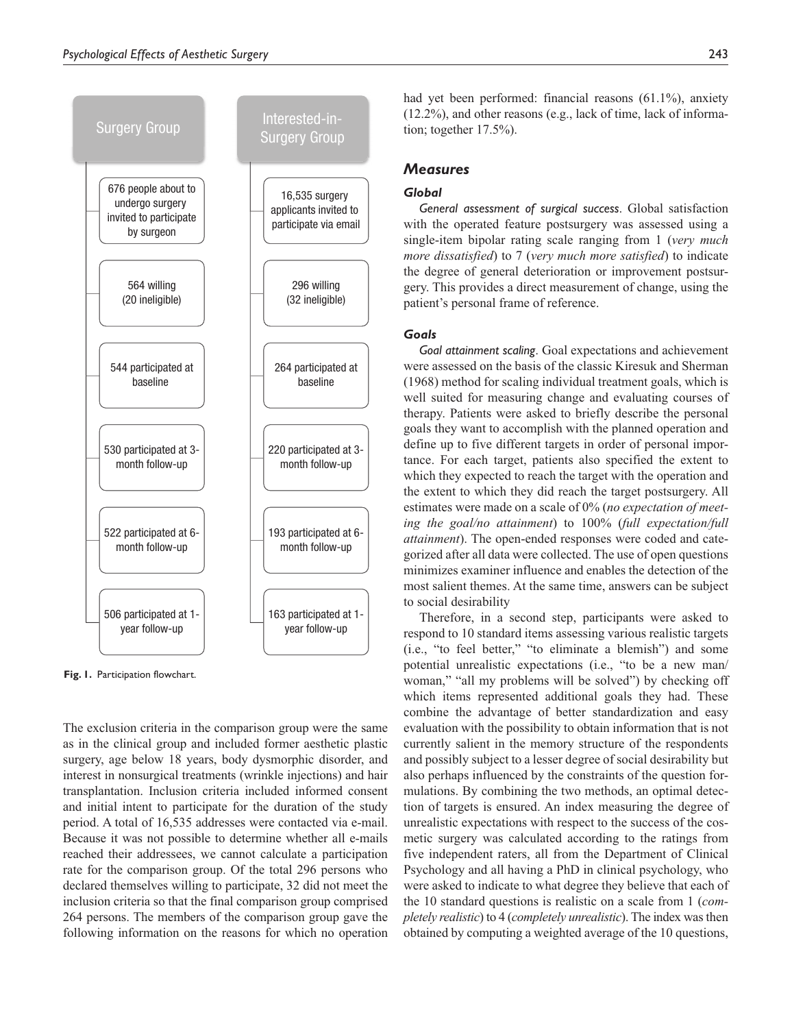

**Fig. 1.** Participation flowchart.

The exclusion criteria in the comparison group were the same as in the clinical group and included former aesthetic plastic surgery, age below 18 years, body dysmorphic disorder, and interest in nonsurgical treatments (wrinkle injections) and hair transplantation. Inclusion criteria included informed consent and initial intent to participate for the duration of the study period. A total of 16,535 addresses were contacted via e-mail. Because it was not possible to determine whether all e-mails reached their addressees, we cannot calculate a participation rate for the comparison group. Of the total 296 persons who declared themselves willing to participate, 32 did not meet the inclusion criteria so that the final comparison group comprised 264 persons. The members of the comparison group gave the following information on the reasons for which no operation

had yet been performed: financial reasons (61.1%), anxiety (12.2%), and other reasons (e.g., lack of time, lack of information; together 17.5%).

## *Measures*

#### *Global*

*General assessment of surgical success*. Global satisfaction with the operated feature postsurgery was assessed using a single-item bipolar rating scale ranging from 1 (*very much more dissatisfied*) to 7 (*very much more satisfied*) to indicate the degree of general deterioration or improvement postsurgery. This provides a direct measurement of change, using the patient's personal frame of reference.

#### *Goals*

*Goal attainment scaling*. Goal expectations and achievement were assessed on the basis of the classic Kiresuk and Sherman (1968) method for scaling individual treatment goals, which is well suited for measuring change and evaluating courses of therapy. Patients were asked to briefly describe the personal goals they want to accomplish with the planned operation and define up to five different targets in order of personal importance. For each target, patients also specified the extent to which they expected to reach the target with the operation and the extent to which they did reach the target postsurgery. All estimates were made on a scale of 0% (*no expectation of meeting the goal/no attainment*) to 100% (*full expectation/full attainment*). The open-ended responses were coded and categorized after all data were collected. The use of open questions minimizes examiner influence and enables the detection of the most salient themes. At the same time, answers can be subject to social desirability

Therefore, in a second step, participants were asked to respond to 10 standard items assessing various realistic targets (i.e., "to feel better," "to eliminate a blemish") and some potential unrealistic expectations (i.e., "to be a new man/ woman," "all my problems will be solved") by checking off which items represented additional goals they had. These combine the advantage of better standardization and easy evaluation with the possibility to obtain information that is not currently salient in the memory structure of the respondents and possibly subject to a lesser degree of social desirability but also perhaps influenced by the constraints of the question formulations. By combining the two methods, an optimal detection of targets is ensured. An index measuring the degree of unrealistic expectations with respect to the success of the cosmetic surgery was calculated according to the ratings from five independent raters, all from the Department of Clinical Psychology and all having a PhD in clinical psychology, who were asked to indicate to what degree they believe that each of the 10 standard questions is realistic on a scale from 1 (*completely realistic*) to 4 (*completely unrealistic*). The index was then obtained by computing a weighted average of the 10 questions,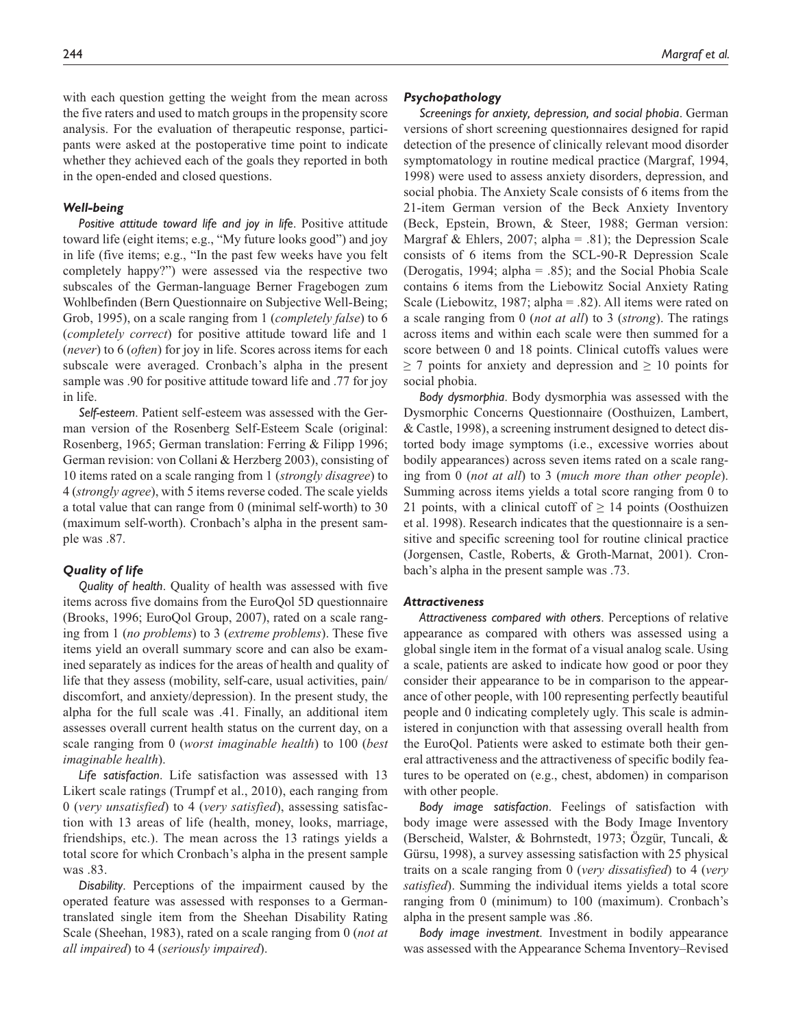with each question getting the weight from the mean across the five raters and used to match groups in the propensity score analysis. For the evaluation of therapeutic response, participants were asked at the postoperative time point to indicate whether they achieved each of the goals they reported in both in the open-ended and closed questions.

### *Well-being*

*Positive attitude toward life and joy in life*. Positive attitude toward life (eight items; e.g., "My future looks good") and joy in life (five items; e.g., "In the past few weeks have you felt completely happy?") were assessed via the respective two subscales of the German-language Berner Fragebogen zum Wohlbefinden (Bern Questionnaire on Subjective Well-Being; Grob, 1995), on a scale ranging from 1 (*completely false*) to 6 (*completely correct*) for positive attitude toward life and 1 (*never*) to 6 (*often*) for joy in life. Scores across items for each subscale were averaged. Cronbach's alpha in the present sample was .90 for positive attitude toward life and .77 for joy in life.

*Self-esteem*. Patient self-esteem was assessed with the German version of the Rosenberg Self-Esteem Scale (original: Rosenberg, 1965; German translation: Ferring & Filipp 1996; German revision: von Collani & Herzberg 2003), consisting of 10 items rated on a scale ranging from 1 (*strongly disagree*) to 4 (*strongly agree*), with 5 items reverse coded. The scale yields a total value that can range from 0 (minimal self-worth) to 30 (maximum self-worth). Cronbach's alpha in the present sample was .87.

#### *Quality of life*

*Quality of health*. Quality of health was assessed with five items across five domains from the EuroQol 5D questionnaire (Brooks, 1996; EuroQol Group, 2007), rated on a scale ranging from 1 (*no problems*) to 3 (*extreme problems*). These five items yield an overall summary score and can also be examined separately as indices for the areas of health and quality of life that they assess (mobility, self-care, usual activities, pain/ discomfort, and anxiety/depression). In the present study, the alpha for the full scale was .41. Finally, an additional item assesses overall current health status on the current day, on a scale ranging from 0 (*worst imaginable health*) to 100 (*best imaginable health*).

*Life satisfaction*. Life satisfaction was assessed with 13 Likert scale ratings (Trumpf et al., 2010), each ranging from 0 (*very unsatisfied*) to 4 (*very satisfied*), assessing satisfaction with 13 areas of life (health, money, looks, marriage, friendships, etc.). The mean across the 13 ratings yields a total score for which Cronbach's alpha in the present sample was .83.

*Disability*. Perceptions of the impairment caused by the operated feature was assessed with responses to a Germantranslated single item from the Sheehan Disability Rating Scale (Sheehan, 1983), rated on a scale ranging from 0 (*not at all impaired*) to 4 (*seriously impaired*).

#### *Psychopathology*

*Screenings for anxiety, depression, and social phobia*. German versions of short screening questionnaires designed for rapid detection of the presence of clinically relevant mood disorder symptomatology in routine medical practice (Margraf, 1994, 1998) were used to assess anxiety disorders, depression, and social phobia. The Anxiety Scale consists of 6 items from the 21-item German version of the Beck Anxiety Inventory (Beck, Epstein, Brown, & Steer, 1988; German version: Margraf & Ehlers, 2007; alpha = .81); the Depression Scale consists of 6 items from the SCL-90-R Depression Scale (Derogatis, 1994; alpha = .85); and the Social Phobia Scale contains 6 items from the Liebowitz Social Anxiety Rating Scale (Liebowitz, 1987; alpha = .82). All items were rated on a scale ranging from 0 (*not at all*) to 3 (*strong*). The ratings across items and within each scale were then summed for a score between 0 and 18 points. Clinical cutoffs values were  $\geq$  7 points for anxiety and depression and  $\geq$  10 points for social phobia.

*Body dysmorphia*. Body dysmorphia was assessed with the Dysmorphic Concerns Questionnaire (Oosthuizen, Lambert, & Castle, 1998), a screening instrument designed to detect distorted body image symptoms (i.e., excessive worries about bodily appearances) across seven items rated on a scale ranging from 0 (*not at all*) to 3 (*much more than other people*). Summing across items yields a total score ranging from 0 to 21 points, with a clinical cutoff of  $\geq$  14 points (Oosthuizen et al. 1998). Research indicates that the questionnaire is a sensitive and specific screening tool for routine clinical practice (Jorgensen, Castle, Roberts, & Groth-Marnat, 2001). Cronbach's alpha in the present sample was .73.

#### *Attractiveness*

*Attractiveness compared with others*. Perceptions of relative appearance as compared with others was assessed using a global single item in the format of a visual analog scale. Using a scale, patients are asked to indicate how good or poor they consider their appearance to be in comparison to the appearance of other people, with 100 representing perfectly beautiful people and 0 indicating completely ugly. This scale is administered in conjunction with that assessing overall health from the EuroQol. Patients were asked to estimate both their general attractiveness and the attractiveness of specific bodily features to be operated on (e.g., chest, abdomen) in comparison with other people.

*Body image satisfaction*. Feelings of satisfaction with body image were assessed with the Body Image Inventory (Berscheid, Walster, & Bohrnstedt, 1973; Özgür, Tuncali, & Gürsu, 1998), a survey assessing satisfaction with 25 physical traits on a scale ranging from 0 (*very dissatisfied*) to 4 (*very satisfied*). Summing the individual items yields a total score ranging from 0 (minimum) to 100 (maximum). Cronbach's alpha in the present sample was .86.

*Body image investment*. Investment in bodily appearance was assessed with the Appearance Schema Inventory–Revised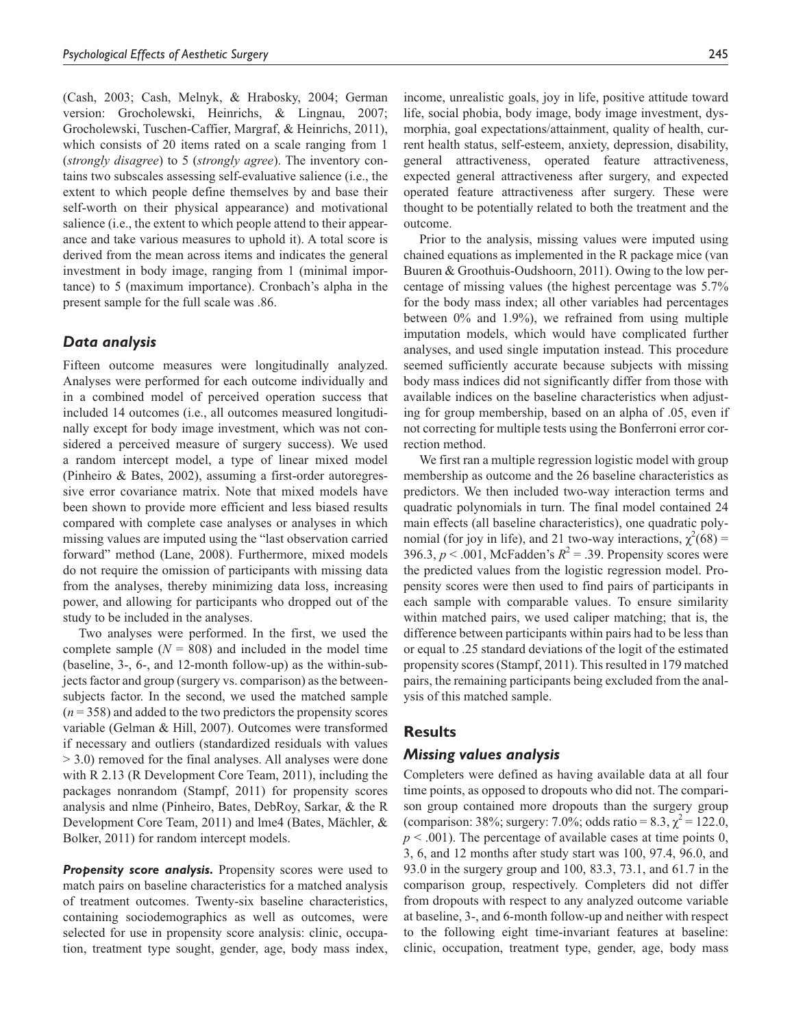(Cash, 2003; Cash, Melnyk, & Hrabosky, 2004; German version: Grocholewski, Heinrichs, & Lingnau, 2007; Grocholewski, Tuschen-Caffier, Margraf, & Heinrichs, 2011), which consists of 20 items rated on a scale ranging from 1 (*strongly disagree*) to 5 (*strongly agree*). The inventory contains two subscales assessing self-evaluative salience (i.e., the extent to which people define themselves by and base their self-worth on their physical appearance) and motivational salience (i.e., the extent to which people attend to their appearance and take various measures to uphold it). A total score is derived from the mean across items and indicates the general investment in body image, ranging from 1 (minimal importance) to 5 (maximum importance). Cronbach's alpha in the present sample for the full scale was .86.

## *Data analysis*

Fifteen outcome measures were longitudinally analyzed. Analyses were performed for each outcome individually and in a combined model of perceived operation success that included 14 outcomes (i.e., all outcomes measured longitudinally except for body image investment, which was not considered a perceived measure of surgery success). We used a random intercept model, a type of linear mixed model (Pinheiro & Bates, 2002), assuming a first-order autoregressive error covariance matrix. Note that mixed models have been shown to provide more efficient and less biased results compared with complete case analyses or analyses in which missing values are imputed using the "last observation carried forward" method (Lane, 2008). Furthermore, mixed models do not require the omission of participants with missing data from the analyses, thereby minimizing data loss, increasing power, and allowing for participants who dropped out of the study to be included in the analyses.

Two analyses were performed. In the first, we used the complete sample  $(N = 808)$  and included in the model time (baseline, 3-, 6-, and 12-month follow-up) as the within-subjects factor and group (surgery vs. comparison) as the betweensubjects factor. In the second, we used the matched sample  $(n = 358)$  and added to the two predictors the propensity scores variable (Gelman & Hill, 2007). Outcomes were transformed if necessary and outliers (standardized residuals with values > 3.0) removed for the final analyses. All analyses were done with R 2.13 (R Development Core Team, 2011), including the packages nonrandom (Stampf, 2011) for propensity scores analysis and nlme (Pinheiro, Bates, DebRoy, Sarkar, & the R Development Core Team, 2011) and lme4 (Bates, Mächler, & Bolker, 2011) for random intercept models.

**Propensity score analysis.** Propensity scores were used to match pairs on baseline characteristics for a matched analysis of treatment outcomes. Twenty-six baseline characteristics, containing sociodemographics as well as outcomes, were selected for use in propensity score analysis: clinic, occupation, treatment type sought, gender, age, body mass index,

income, unrealistic goals, joy in life, positive attitude toward life, social phobia, body image, body image investment, dysmorphia, goal expectations/attainment, quality of health, current health status, self-esteem, anxiety, depression, disability, general attractiveness, operated feature attractiveness, expected general attractiveness after surgery, and expected operated feature attractiveness after surgery. These were thought to be potentially related to both the treatment and the outcome.

Prior to the analysis, missing values were imputed using chained equations as implemented in the R package mice (van Buuren & Groothuis-Oudshoorn, 2011). Owing to the low percentage of missing values (the highest percentage was 5.7% for the body mass index; all other variables had percentages between 0% and 1.9%), we refrained from using multiple imputation models, which would have complicated further analyses, and used single imputation instead. This procedure seemed sufficiently accurate because subjects with missing body mass indices did not significantly differ from those with available indices on the baseline characteristics when adjusting for group membership, based on an alpha of .05, even if not correcting for multiple tests using the Bonferroni error correction method.

We first ran a multiple regression logistic model with group membership as outcome and the 26 baseline characteristics as predictors. We then included two-way interaction terms and quadratic polynomials in turn. The final model contained 24 main effects (all baseline characteristics), one quadratic polynomial (for joy in life), and 21 two-way interactions,  $\chi^2(68)$  = 396.3,  $p < .001$ , McFadden's  $R^2 = .39$ . Propensity scores were the predicted values from the logistic regression model. Propensity scores were then used to find pairs of participants in each sample with comparable values. To ensure similarity within matched pairs, we used caliper matching; that is, the difference between participants within pairs had to be less than or equal to .25 standard deviations of the logit of the estimated propensity scores (Stampf, 2011). This resulted in 179 matched pairs, the remaining participants being excluded from the analysis of this matched sample.

## **Results**

## *Missing values analysis*

Completers were defined as having available data at all four time points, as opposed to dropouts who did not. The comparison group contained more dropouts than the surgery group (comparison: 38%; surgery: 7.0%; odds ratio = 8.3,  $\chi^2$  = 122.0,  $p < .001$ ). The percentage of available cases at time points 0, 3, 6, and 12 months after study start was 100, 97.4, 96.0, and 93.0 in the surgery group and 100, 83.3, 73.1, and 61.7 in the comparison group, respectively. Completers did not differ from dropouts with respect to any analyzed outcome variable at baseline, 3-, and 6-month follow-up and neither with respect to the following eight time-invariant features at baseline: clinic, occupation, treatment type, gender, age, body mass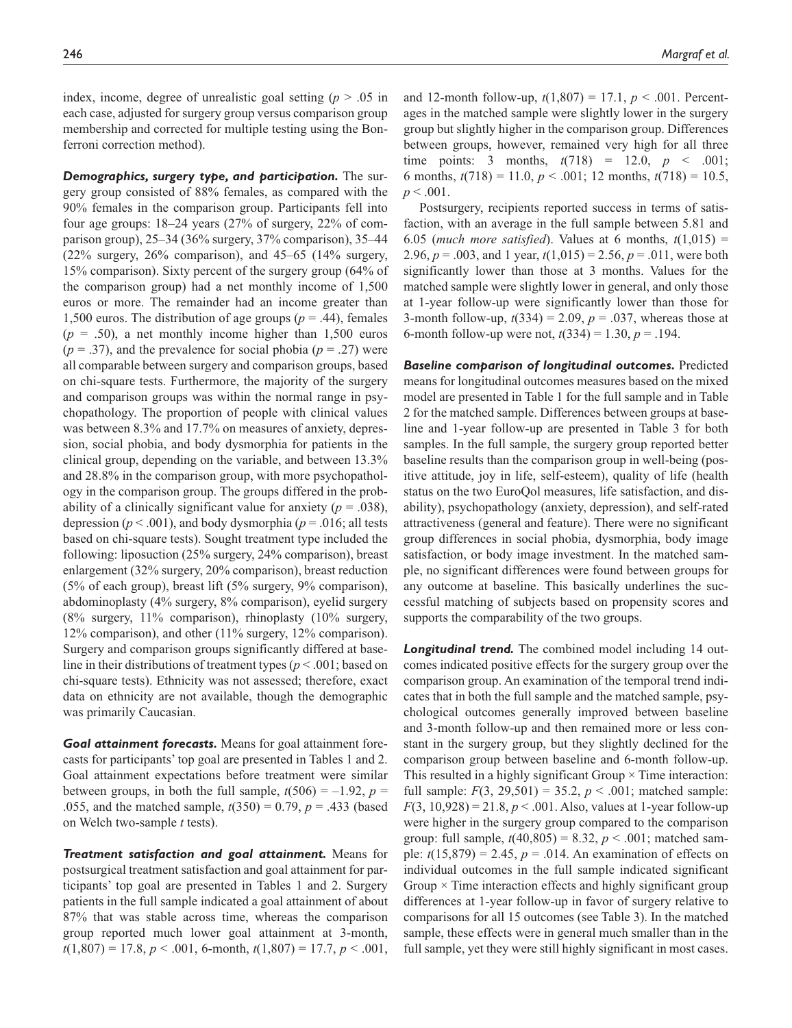index, income, degree of unrealistic goal setting  $(p > .05)$  in each case, adjusted for surgery group versus comparison group membership and corrected for multiple testing using the Bonferroni correction method).

*Demographics, surgery type, and participation.* The surgery group consisted of 88% females, as compared with the 90% females in the comparison group. Participants fell into four age groups: 18–24 years (27% of surgery, 22% of comparison group), 25–34 (36% surgery, 37% comparison), 35–44 (22% surgery, 26% comparison), and 45–65 (14% surgery, 15% comparison). Sixty percent of the surgery group (64% of the comparison group) had a net monthly income of 1,500 euros or more. The remainder had an income greater than 1,500 euros. The distribution of age groups ( $p = .44$ ), females  $(p = .50)$ , a net monthly income higher than 1,500 euros  $(p = .37)$ , and the prevalence for social phobia  $(p = .27)$  were all comparable between surgery and comparison groups, based on chi-square tests. Furthermore, the majority of the surgery and comparison groups was within the normal range in psychopathology. The proportion of people with clinical values was between 8.3% and 17.7% on measures of anxiety, depression, social phobia, and body dysmorphia for patients in the clinical group, depending on the variable, and between 13.3% and 28.8% in the comparison group, with more psychopathology in the comparison group. The groups differed in the probability of a clinically significant value for anxiety ( $p = .038$ ), depression ( $p < .001$ ), and body dysmorphia ( $p = .016$ ; all tests based on chi-square tests). Sought treatment type included the following: liposuction (25% surgery, 24% comparison), breast enlargement (32% surgery, 20% comparison), breast reduction (5% of each group), breast lift (5% surgery, 9% comparison), abdominoplasty (4% surgery, 8% comparison), eyelid surgery (8% surgery, 11% comparison), rhinoplasty (10% surgery, 12% comparison), and other (11% surgery, 12% comparison). Surgery and comparison groups significantly differed at baseline in their distributions of treatment types (*p* < .001; based on chi-square tests). Ethnicity was not assessed; therefore, exact data on ethnicity are not available, though the demographic was primarily Caucasian.

*Goal attainment forecasts.* Means for goal attainment forecasts for participants' top goal are presented in Tables 1 and 2. Goal attainment expectations before treatment were similar between groups, in both the full sample,  $t(506) = -1.92$ ,  $p =$ .055, and the matched sample, *t*(350) = 0.79, *p* = .433 (based on Welch two-sample *t* tests).

*Treatment satisfaction and goal attainment.* Means for postsurgical treatment satisfaction and goal attainment for participants' top goal are presented in Tables 1 and 2. Surgery patients in the full sample indicated a goal attainment of about 87% that was stable across time, whereas the comparison group reported much lower goal attainment at 3-month, *t*(1,807) = 17.8, *p* < .001, 6-month, *t*(1,807) = 17.7, *p* < .001,

and 12-month follow-up,  $t(1,807) = 17.1$ ,  $p < .001$ . Percentages in the matched sample were slightly lower in the surgery group but slightly higher in the comparison group. Differences between groups, however, remained very high for all three time points: 3 months,  $t(718) = 12.0$ ,  $p < .001$ ; 6 months,  $t(718) = 11.0, p < .001$ ; 12 months,  $t(718) = 10.5$ ,  $p < .001$ .

Postsurgery, recipients reported success in terms of satisfaction, with an average in the full sample between 5.81 and 6.05 (*much more satisfied*). Values at 6 months, *t*(1,015) = 2.96,  $p = .003$ , and 1 year,  $t(1,015) = 2.56$ ,  $p = .011$ , were both significantly lower than those at 3 months. Values for the matched sample were slightly lower in general, and only those at 1-year follow-up were significantly lower than those for 3-month follow-up,  $t(334) = 2.09$ ,  $p = .037$ , whereas those at 6-month follow-up were not,  $t(334) = 1.30, p = .194$ .

*Baseline comparison of longitudinal outcomes.* Predicted means for longitudinal outcomes measures based on the mixed model are presented in Table 1 for the full sample and in Table 2 for the matched sample. Differences between groups at baseline and 1-year follow-up are presented in Table 3 for both samples. In the full sample, the surgery group reported better baseline results than the comparison group in well-being (positive attitude, joy in life, self-esteem), quality of life (health status on the two EuroQol measures, life satisfaction, and disability), psychopathology (anxiety, depression), and self-rated attractiveness (general and feature). There were no significant group differences in social phobia, dysmorphia, body image satisfaction, or body image investment. In the matched sample, no significant differences were found between groups for any outcome at baseline. This basically underlines the successful matching of subjects based on propensity scores and supports the comparability of the two groups.

*Longitudinal trend.* The combined model including 14 outcomes indicated positive effects for the surgery group over the comparison group. An examination of the temporal trend indicates that in both the full sample and the matched sample, psychological outcomes generally improved between baseline and 3-month follow-up and then remained more or less constant in the surgery group, but they slightly declined for the comparison group between baseline and 6-month follow-up. This resulted in a highly significant Group  $\times$  Time interaction: full sample:  $F(3, 29,501) = 35.2, p < .001$ ; matched sample:  $F(3, 10,928) = 21.8, p < .001$ . Also, values at 1-year follow-up were higher in the surgery group compared to the comparison group: full sample,  $t(40,805) = 8.32$ ,  $p < .001$ ; matched sample:  $t(15,879) = 2.45$ ,  $p = .014$ . An examination of effects on individual outcomes in the full sample indicated significant Group  $\times$  Time interaction effects and highly significant group differences at 1-year follow-up in favor of surgery relative to comparisons for all 15 outcomes (see Table 3). In the matched sample, these effects were in general much smaller than in the full sample, yet they were still highly significant in most cases.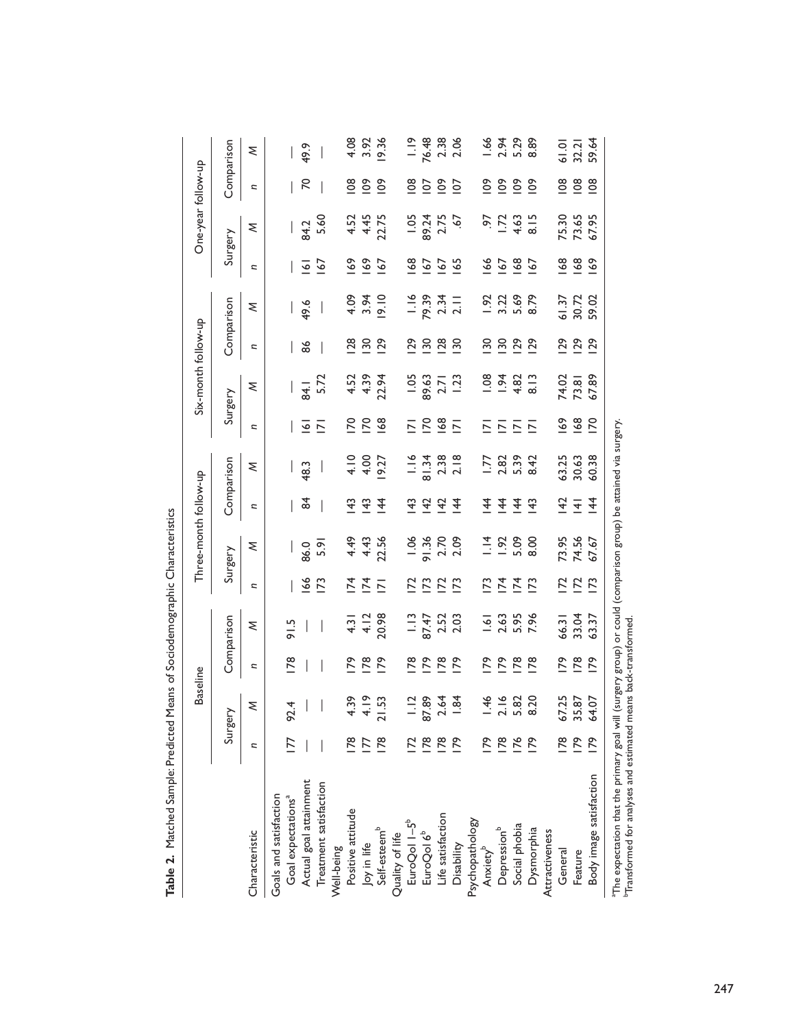|                                                                                                                                                                         |                    | <b>Baseline</b> |                         |                                                             |                  | Three-month follow-up       |                 |                                      |                             | Six-month follow-up          |                 |                                       |                 | One-year follow-up          |                |                            |
|-------------------------------------------------------------------------------------------------------------------------------------------------------------------------|--------------------|-----------------|-------------------------|-------------------------------------------------------------|------------------|-----------------------------|-----------------|--------------------------------------|-----------------------------|------------------------------|-----------------|---------------------------------------|-----------------|-----------------------------|----------------|----------------------------|
|                                                                                                                                                                         |                    | Surgery         |                         | Comparison                                                  |                  | Surgery                     |                 | Comparison                           | Surgery                     |                              | Comparison      |                                       | Surgery         |                             | Comparison     |                            |
| Characteristic                                                                                                                                                          | n                  | ξ               | n                       | Σ                                                           | u                | Σ                           | u               | ξ                                    | u                           | Σ                            | u               | ξ                                     | u               | Σ                           | u              | Σ                          |
| Goals and satisfaction                                                                                                                                                  |                    |                 |                         |                                                             |                  |                             |                 |                                      |                             |                              |                 |                                       |                 |                             |                |                            |
| Goal expectations <sup>a</sup>                                                                                                                                          |                    | 92.4            | <b>178</b>              | $\frac{1}{9}$                                               |                  |                             |                 |                                      |                             |                              |                 |                                       |                 |                             |                |                            |
| Actual goal attainment                                                                                                                                                  |                    |                 |                         |                                                             | 66               | 86.0                        | 没               | 48.3                                 | $\bullet$                   | 84.1                         | 86              | 49.6                                  | $\overline{2}$  | 84.2<br>5.60                | 20             | 49.9                       |
| Treatment satisfaction<br>Well-being                                                                                                                                    |                    |                 |                         |                                                             | 173              | 5.91                        |                 |                                      | $\overline{\Sigma}$         | 5.72                         |                 |                                       | 167             |                             |                |                            |
| Positive attitude                                                                                                                                                       | జ                  | 4.39            | $\overline{5}$          |                                                             |                  |                             | $\frac{4}{3}$   |                                      | $\mathsf{S}$                |                              | $\frac{28}{ }$  |                                       | $\frac{69}{5}$  |                             | 8              |                            |
| Joy in life                                                                                                                                                             | F                  | 4.19            |                         | $4.\overline{3}$<br>$4.\overline{12}$<br>$20.\overline{98}$ | ミュニ              | 4.43<br>4.43<br>22.56       | $\frac{4}{3}$   | $4.10$<br>$4.00$<br>$19.27$          | $\overline{5}$              | $4.52$<br>$4.39$<br>$2.34$   | $\frac{8}{2}$   | $4.09$<br>$7.8$<br>$9.10$             | 69              | $4.52$<br>$4.45$<br>$2.75$  | $\infty$       | $4.36$<br>$7.36$<br>$9.36$ |
| Self-esteem <sup>b</sup>                                                                                                                                                | జ                  | 21.53           | <b>178</b>              |                                                             |                  |                             | $\overline{4}$  |                                      | 168                         |                              | <b>PZI</b>      |                                       | 167             |                             | $\infty$       |                            |
|                                                                                                                                                                         |                    |                 |                         |                                                             |                  |                             |                 |                                      |                             |                              |                 |                                       |                 |                             |                |                            |
| Quality of life<br>EuroQol I–5 <sup>b</sup>                                                                                                                             |                    | 1.12            | $\overline{18}$         |                                                             |                  |                             | $\frac{43}{5}$  |                                      | $\bar{\triangleright}$      |                              | $\overline{29}$ |                                       | $\frac{8}{8}$   |                             | 8              |                            |
| EuroQol 6 <sup>b</sup>                                                                                                                                                  | $\overline{8}$     | 87.89           | I79                     | $1.13$<br>87.47<br>2.52                                     | $\frac{72}{12}$  | $1.06$<br>$91.36$<br>$2.70$ | $\overline{42}$ | $1.16$<br>$3.38$<br>$2.18$<br>$2.18$ | $\overline{170}$            | $1.05$<br>$99.63$<br>$2.71$  | $\frac{8}{3}$   | $1.16$<br>$9.334$<br>$2.34$           | 167             | $1.05$<br>$39.24$<br>$2.75$ | 5              | $1848$<br>$7648$<br>$206$  |
| Life satisfaction                                                                                                                                                       | $\overline{8}$     | 2.64            | 178                     |                                                             |                  |                             | $\frac{42}{5}$  |                                      | 168                         |                              | 28              |                                       | $\overline{67}$ |                             | $\infty$       |                            |
| Disability                                                                                                                                                              | $\tilde{\epsilon}$ | 1.84            | 179                     | 2.03                                                        | 173              | 2.09                        | $\overline{4}$  |                                      | $\overline{\triangleright}$ | 1.23                         | 20              |                                       | 165             | 2                           | $\overline{c}$ |                            |
|                                                                                                                                                                         |                    |                 |                         |                                                             |                  |                             |                 |                                      |                             |                              |                 |                                       |                 |                             |                |                            |
| Psychopathology<br>Anxiety <sup>b</sup>                                                                                                                                 | ደ                  | $-1.46$         | $\mathcal{E}$           |                                                             | $\overline{13}$  | $\frac{4}{1}$               | $\overline{4}$  | L7                                   | $\overline{\triangleright}$ | $\frac{80}{1}$               | $\approx$       |                                       | 991             |                             | $\frac{8}{2}$  |                            |
| Depression <sup>b</sup>                                                                                                                                                 | 178                | 2.16            | 179                     | 1.61<br>2.63<br>5.51                                        |                  | $1.92$<br>5.09              | $\overline{4}$  |                                      | $\bar{\triangleright}$      |                              | $\frac{8}{2}$   | $-3.22$<br>$-3.23$<br>$-5.69$<br>8.79 | 191             | $5.73$<br>$-4.3$            | $\infty$       | $-2, 32$<br>$-5, 29$       |
| Social phobia                                                                                                                                                           | 176                | 5.82            | <b>178</b>              |                                                             | 7 Z Z<br>7       |                             | $\overline{4}$  | 2.3<br>2.3<br>2.4<br>2.9             | $\overline{\Sigma}$         | $-4.81$<br>$-4.81$<br>$-8.1$ | 29              |                                       | 168             |                             | $\infty$       |                            |
| Dysmorphia                                                                                                                                                              | $\mathcal{E}$      | 8.20            | <b>178</b>              | 7.96                                                        |                  | 8.00                        | $\frac{43}{5}$  |                                      | $\overline{\Sigma}$         |                              | 29              |                                       | $\overline{67}$ | 8.15                        | $\frac{8}{2}$  | 8.89                       |
| Attractiveness                                                                                                                                                          |                    |                 |                         |                                                             |                  |                             |                 |                                      |                             |                              |                 |                                       |                 |                             |                |                            |
| General                                                                                                                                                                 | œ                  | 67.25           | $\overline{5}$          |                                                             | $\overline{2}$   |                             | $\frac{42}{3}$  |                                      | 169                         |                              | $^{29}$         |                                       | 168             |                             | $\frac{80}{2}$ |                            |
| Feature                                                                                                                                                                 | $\overline{5}$     | 35.87           | <b>178</b>              | 66.31<br>33.04                                              | 172              | 73.95<br>74.56              | $\overline{4}$  | 63.25<br>30.63                       | 168                         | 74.02<br>73.81<br>67.89      | $\overline{29}$ | 61.37<br>30.72                        | 168             | 75.30<br>73.65              | $\frac{8}{6}$  | 61.01<br>32.21             |
| Body image satisfaction                                                                                                                                                 | ጆ                  | 64.07           | $\overline{r}$          | 63.37                                                       | $\overline{173}$ | 67.67                       | $\ddot{4}$      | 60.38                                | $\overline{5}$              |                              | 29              | 59.02                                 | 69              | 67.95                       | $\frac{80}{2}$ | 59.64                      |
| "The expectation that the primary goal will (surgery group) or could (comparison group) be attained via surgery.<br><sup>b</sup> Transformed for analyses and estimated |                    |                 | means back-transformed. |                                                             |                  |                             |                 |                                      |                             |                              |                 |                                       |                 |                             |                |                            |

Table 2. Matched Sample: Predicted Means of Sociodemographic Characteristics **Table 2.** Matched Sample: Predicted Means of Sociodemographic Characteristics

247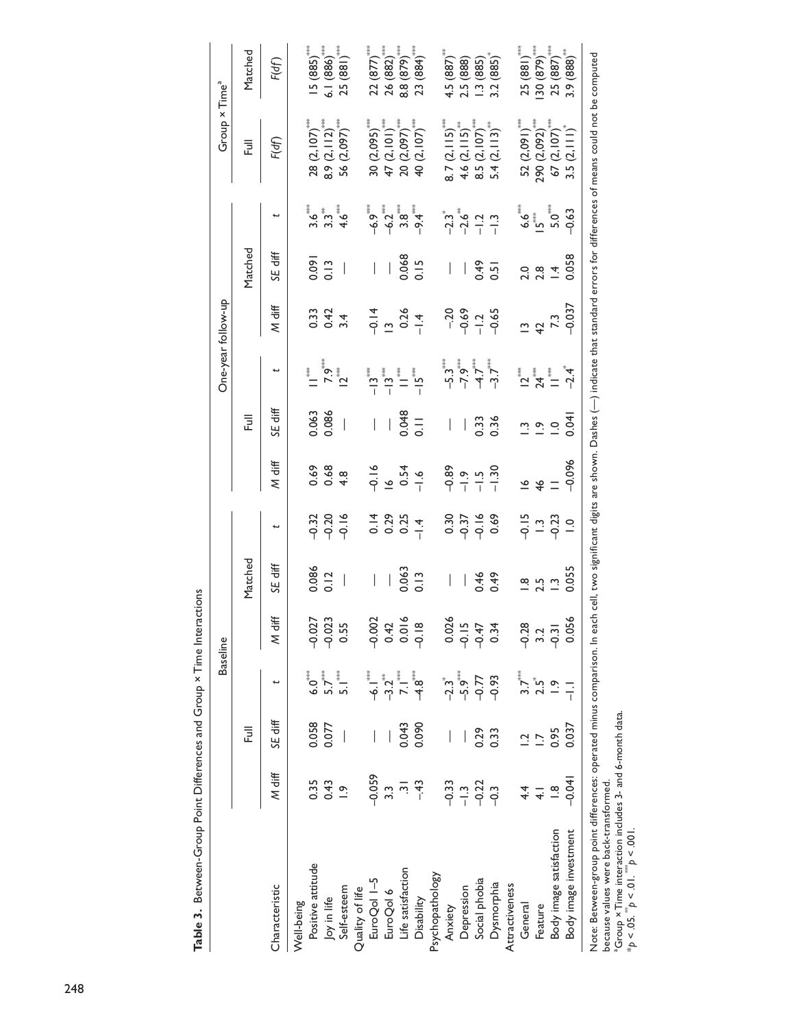|                                                                                                                                                                                                           |                   |                |                               | <b>Baseline</b>                           |                                       |               |                |                          |                                                                                                                                                                                                                                                                                                                                                                                      | One-year follow-up |                          |                        | Group × Time <sup>a</sup>   |                             |
|-----------------------------------------------------------------------------------------------------------------------------------------------------------------------------------------------------------|-------------------|----------------|-------------------------------|-------------------------------------------|---------------------------------------|---------------|----------------|--------------------------|--------------------------------------------------------------------------------------------------------------------------------------------------------------------------------------------------------------------------------------------------------------------------------------------------------------------------------------------------------------------------------------|--------------------|--------------------------|------------------------|-----------------------------|-----------------------------|
|                                                                                                                                                                                                           |                   | Ē              |                               |                                           | Matched                               |               |                | 卮                        |                                                                                                                                                                                                                                                                                                                                                                                      |                    | Matched                  |                        | 卮                           | Matched                     |
| Characteristic                                                                                                                                                                                            | M diff            | SE diff        |                               | ₩<br>ξ                                    | SE diff                               | t             | M diff         | SE diff                  | پ                                                                                                                                                                                                                                                                                                                                                                                    | M diff             | SE diff                  | t                      | F(df)                       | F(df)                       |
| Well-being                                                                                                                                                                                                |                   |                |                               |                                           |                                       |               |                |                          |                                                                                                                                                                                                                                                                                                                                                                                      |                    |                          |                        |                             |                             |
| Positive attitude                                                                                                                                                                                         | 0.35              | 0.058          | $6.0^{***}$                   |                                           | 0.086                                 | $-0.32$       | 0.69           | 0.063                    | $\begin{matrix} \mathbb{R}^n & \mathbb{R}^n \mathbb{R}^n & \mathbb{R}^n \mathbb{R}^n & \mathbb{R}^n \mathbb{R}^n & \mathbb{R}^n \mathbb{R}^n & \mathbb{R}^n \mathbb{R}^n & \mathbb{R}^n \mathbb{R}^n & \mathbb{R}^n & \mathbb{R}^n & \mathbb{R}^n \mathbb{R}^n & \mathbb{R}^n & \mathbb{R}^n & \mathbb{R}^n \mathbb{R}^n & \mathbb{R}^n & \mathbb{R}^n & \mathbb{R}^n & \mathbb{R}^$ | 0.33               | 0.091                    | $3.6^{***}$            | 28 (2,107)                  | $15 (885)$ <sup>***</sup>   |
| Joy in life                                                                                                                                                                                               | 0.43              | 0.077          | $5.7$ <sup>***</sup>          | $-0.027$<br>$-0.023$                      | 0.12                                  | $-0.20$       | 0.68           | 0.086                    | $7.9$ ***                                                                                                                                                                                                                                                                                                                                                                            | 0.42               | 0.13                     | $\ddot{3}$             | $8.9(2,112)$ <sup>***</sup> | 6.1 (886)                   |
| Self-esteem                                                                                                                                                                                               | $\tilde{e}$       |                | ِ<br>آم                       | 0.55                                      | $\begin{array}{c} \hline \end{array}$ | $-0.16$       | 4.8            | $\overline{\phantom{a}}$ | $12^{***}$                                                                                                                                                                                                                                                                                                                                                                           | 3.4                | $\bigg $                 | <sub>**</sub><br>4.6   | 56 (2,097) <sup>****</sup>  | 25 (881)***                 |
| Quality of life                                                                                                                                                                                           |                   |                |                               |                                           |                                       |               |                |                          |                                                                                                                                                                                                                                                                                                                                                                                      |                    |                          |                        |                             |                             |
| EuroQol 1-5                                                                                                                                                                                               | $-0.059$          |                | $-6.\overline{1}$             | $-0.002$                                  |                                       | 0.14          | $-0.16$        |                          | $-13$ <sup>***</sup>                                                                                                                                                                                                                                                                                                                                                                 | $-0.14$            | I                        | $-6.9$                 | $30(2,095)$ ***             | 22 (877)                    |
| EuroQol 6                                                                                                                                                                                                 | $3.\overline{3}$  |                |                               |                                           | I                                     | 0.29          | $\frac{6}{2}$  | I                        | $\frac{1}{2}$                                                                                                                                                                                                                                                                                                                                                                        | $\overline{a}$     | I                        | $-6.2$ <sup>***</sup>  | 47 (2,101)                  | 26 (882)****                |
| Life satisfaction                                                                                                                                                                                         |                   | 0.043          | $-3.2$ <sup>**</sup><br>7.1** | $0.42$<br>0.016                           | 0.063                                 | 0.25          | 0.54           | 0.048                    | $\begin{array}{c} \mathbb{R}^n \downarrow \mathbb{R}^n \end{array}$                                                                                                                                                                                                                                                                                                                  | 0.26               | 0.068                    | $3.\overline{8}^{***}$ | $20(2,097)$ ***             | 8.8 (879)                   |
| Disability                                                                                                                                                                                                | $-43$             | 0.090          | $-4.8$                        | $\frac{\infty}{\infty}$<br>$\overline{q}$ | $\frac{1}{2}$                         | $\frac{4}{1}$ | $\frac{1}{1}$  | $\frac{1}{2}$            | – i 5*                                                                                                                                                                                                                                                                                                                                                                               | $\frac{4}{1}$      | 0.15                     | $-9.4$                 | 40 (2,107) <sup>****</sup>  | $23 (884)$ <sup>***</sup>   |
| Psychopathology                                                                                                                                                                                           |                   |                |                               |                                           |                                       |               |                |                          |                                                                                                                                                                                                                                                                                                                                                                                      |                    |                          |                        |                             |                             |
| Anxiety                                                                                                                                                                                                   | $-0.33$           |                |                               |                                           | I                                     | 0.30          | $-0.89$        | $\overline{\phantom{a}}$ | $-5.3$                                                                                                                                                                                                                                                                                                                                                                               | $-20$              | $\overline{\phantom{a}}$ | $-2.3$ <sup>*</sup>    | $8.7(2,115)$ <sup>***</sup> | 4.5 $(887)$ <sup>**</sup>   |
| Depression                                                                                                                                                                                                |                   |                | $-2.3$ <sup>**</sup><br>-5.9  |                                           | $\overline{\phantom{a}}$              | $-0.37$       | $\frac{6}{1}$  | $\overline{\phantom{a}}$ | $-7.9$                                                                                                                                                                                                                                                                                                                                                                               | $-0.69$            | $\overline{\phantom{a}}$ | "<br>−2.6<br>ا         | 4.6 $(2.115)^{**}$          | 2.5 (888)                   |
| Social phobia                                                                                                                                                                                             | $-1.3$<br>$-0.22$ | 0.29           | $-0.77$                       | $0.026$<br>-0.15<br>-0.47                 | 0.46                                  | $-0.16$       | $-1.5$         | 0.33                     | $-4.7$                                                                                                                                                                                                                                                                                                                                                                               | $-1.2$             | 649                      | $-1.2$                 | $8.5(2,107)$ <sup>***</sup> | 1.3(885)                    |
| Dysmorphia                                                                                                                                                                                                | $-0.3$            | 0.33           |                               | 0.34                                      | 649                                   | 0.69          | $-1.30$        | 0.36                     | $-3.7***$                                                                                                                                                                                                                                                                                                                                                                            | $-0.65$            | 0.51                     | $-1.3$                 | $5.4(2.113)$ <sup>**</sup>  | $(885)^*$<br>3.2            |
| Attractiveness                                                                                                                                                                                            |                   |                |                               |                                           |                                       |               |                |                          |                                                                                                                                                                                                                                                                                                                                                                                      |                    |                          |                        |                             |                             |
| General                                                                                                                                                                                                   | $4\frac{4}{1}$    | $\overline{a}$ | $3.7***$                      | $-0.28$                                   | $\frac{\infty}{\cdot}$                | $-0.15$       | $\overline{6}$ | $\tilde{c}$              | ב**<br>2                                                                                                                                                                                                                                                                                                                                                                             | $\tilde{ }$        | 2.0                      | ة*<br>6.6              | 52 (2,091) <sup>***</sup>   | 25 (881)***                 |
| Feature                                                                                                                                                                                                   |                   | $\overline{C}$ | 2.5                           | 3.2                                       | 2.5                                   | $\frac{1}{2}$ | $\frac{4}{6}$  | $\tilde{c}$              | 24                                                                                                                                                                                                                                                                                                                                                                                   | $\overline{4}$     | 2.8                      | l 5 <sup>***</sup>     | 290 (2,092)                 | 30 (879) <sup>***</sup>     |
| Body image satisfaction                                                                                                                                                                                   | $\frac{8}{1}$     | 0.95           | $\tilde{e}$                   | $-0.31$                                   | $\tilde{c}$                           | $-0.23$       |                | $\overline{C}$           | $\stackrel{*}{=}$                                                                                                                                                                                                                                                                                                                                                                    | 7.3                | $\overline{4}$           | $5.0^{***}$            | 67(2,107)                   | 25 (887) <sup>***</sup>     |
| Body image investment                                                                                                                                                                                     | $-0.041$          | 0.037          |                               | 0.056                                     | 0.055                                 | $\frac{1}{2}$ | $-0.096$       | 0.04                     | $-2.4$                                                                                                                                                                                                                                                                                                                                                                               | $-0.037$           | 0.058                    | $-0.63$                | $3.5 (2.111)^*$             | $3.9$ $(888)$ <sup>**</sup> |
| Note: Between-group point differences: operated minus comparison. In each cell, two significant digits are shown. Dashes (—) indicate that standard errors for differences of means could not be computed |                   |                |                               |                                           |                                       |               |                |                          |                                                                                                                                                                                                                                                                                                                                                                                      |                    |                          |                        |                             |                             |

Table 3. Between-Group Point Differences and Group × Time Interactions **Table 3.** Between-Group Point Differences and Group × Time Interactions

 $\frac{1}{20}$ 。<br>。 ը<br>Բ because values were back-transformed.<br>"Group × Time interaction includes 3- and 6-month data.<br>\*p < .05. "p < .01." "p < .001. because values were back-transformed.

aGroup × Time interaction includes 3- and 6-month data. \**p* < .05. \*\**p* < .01. \*\*\**p* < .001.

248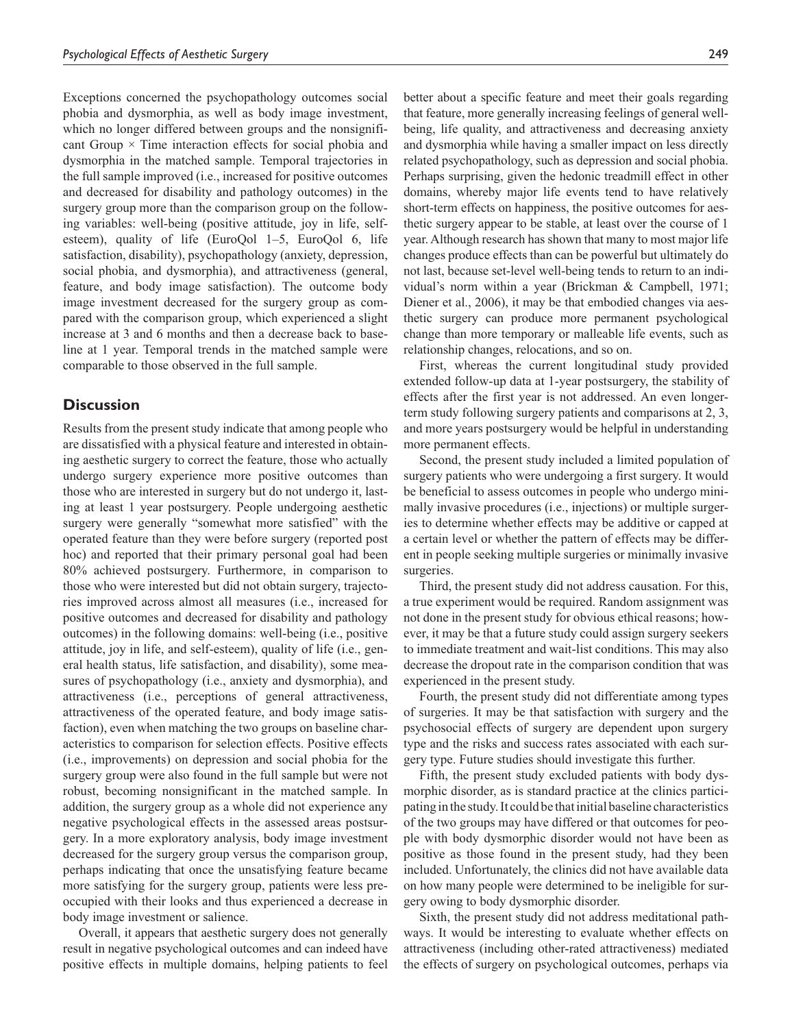Exceptions concerned the psychopathology outcomes social phobia and dysmorphia, as well as body image investment, which no longer differed between groups and the nonsignificant Group  $\times$  Time interaction effects for social phobia and dysmorphia in the matched sample. Temporal trajectories in the full sample improved (i.e., increased for positive outcomes and decreased for disability and pathology outcomes) in the surgery group more than the comparison group on the following variables: well-being (positive attitude, joy in life, selfesteem), quality of life (EuroQol 1–5, EuroQol 6, life satisfaction, disability), psychopathology (anxiety, depression, social phobia, and dysmorphia), and attractiveness (general, feature, and body image satisfaction). The outcome body image investment decreased for the surgery group as compared with the comparison group, which experienced a slight increase at 3 and 6 months and then a decrease back to baseline at 1 year. Temporal trends in the matched sample were comparable to those observed in the full sample.

## **Discussion**

Results from the present study indicate that among people who are dissatisfied with a physical feature and interested in obtaining aesthetic surgery to correct the feature, those who actually undergo surgery experience more positive outcomes than those who are interested in surgery but do not undergo it, lasting at least 1 year postsurgery. People undergoing aesthetic surgery were generally "somewhat more satisfied" with the operated feature than they were before surgery (reported post hoc) and reported that their primary personal goal had been 80% achieved postsurgery. Furthermore, in comparison to those who were interested but did not obtain surgery, trajectories improved across almost all measures (i.e., increased for positive outcomes and decreased for disability and pathology outcomes) in the following domains: well-being (i.e., positive attitude, joy in life, and self-esteem), quality of life (i.e., general health status, life satisfaction, and disability), some measures of psychopathology (i.e., anxiety and dysmorphia), and attractiveness (i.e., perceptions of general attractiveness, attractiveness of the operated feature, and body image satisfaction), even when matching the two groups on baseline characteristics to comparison for selection effects. Positive effects (i.e., improvements) on depression and social phobia for the surgery group were also found in the full sample but were not robust, becoming nonsignificant in the matched sample. In addition, the surgery group as a whole did not experience any negative psychological effects in the assessed areas postsurgery. In a more exploratory analysis, body image investment decreased for the surgery group versus the comparison group, perhaps indicating that once the unsatisfying feature became more satisfying for the surgery group, patients were less preoccupied with their looks and thus experienced a decrease in body image investment or salience.

Overall, it appears that aesthetic surgery does not generally result in negative psychological outcomes and can indeed have positive effects in multiple domains, helping patients to feel better about a specific feature and meet their goals regarding that feature, more generally increasing feelings of general wellbeing, life quality, and attractiveness and decreasing anxiety and dysmorphia while having a smaller impact on less directly related psychopathology, such as depression and social phobia. Perhaps surprising, given the hedonic treadmill effect in other domains, whereby major life events tend to have relatively short-term effects on happiness, the positive outcomes for aesthetic surgery appear to be stable, at least over the course of 1 year. Although research has shown that many to most major life changes produce effects than can be powerful but ultimately do not last, because set-level well-being tends to return to an individual's norm within a year (Brickman & Campbell, 1971; Diener et al., 2006), it may be that embodied changes via aesthetic surgery can produce more permanent psychological change than more temporary or malleable life events, such as relationship changes, relocations, and so on.

First, whereas the current longitudinal study provided extended follow-up data at 1-year postsurgery, the stability of effects after the first year is not addressed. An even longerterm study following surgery patients and comparisons at 2, 3, and more years postsurgery would be helpful in understanding more permanent effects.

Second, the present study included a limited population of surgery patients who were undergoing a first surgery. It would be beneficial to assess outcomes in people who undergo minimally invasive procedures (i.e., injections) or multiple surgeries to determine whether effects may be additive or capped at a certain level or whether the pattern of effects may be different in people seeking multiple surgeries or minimally invasive surgeries.

Third, the present study did not address causation. For this, a true experiment would be required. Random assignment was not done in the present study for obvious ethical reasons; however, it may be that a future study could assign surgery seekers to immediate treatment and wait-list conditions. This may also decrease the dropout rate in the comparison condition that was experienced in the present study.

Fourth, the present study did not differentiate among types of surgeries. It may be that satisfaction with surgery and the psychosocial effects of surgery are dependent upon surgery type and the risks and success rates associated with each surgery type. Future studies should investigate this further.

Fifth, the present study excluded patients with body dysmorphic disorder, as is standard practice at the clinics participating in the study. It could be that initial baseline characteristics of the two groups may have differed or that outcomes for people with body dysmorphic disorder would not have been as positive as those found in the present study, had they been included. Unfortunately, the clinics did not have available data on how many people were determined to be ineligible for surgery owing to body dysmorphic disorder.

Sixth, the present study did not address meditational pathways. It would be interesting to evaluate whether effects on attractiveness (including other-rated attractiveness) mediated the effects of surgery on psychological outcomes, perhaps via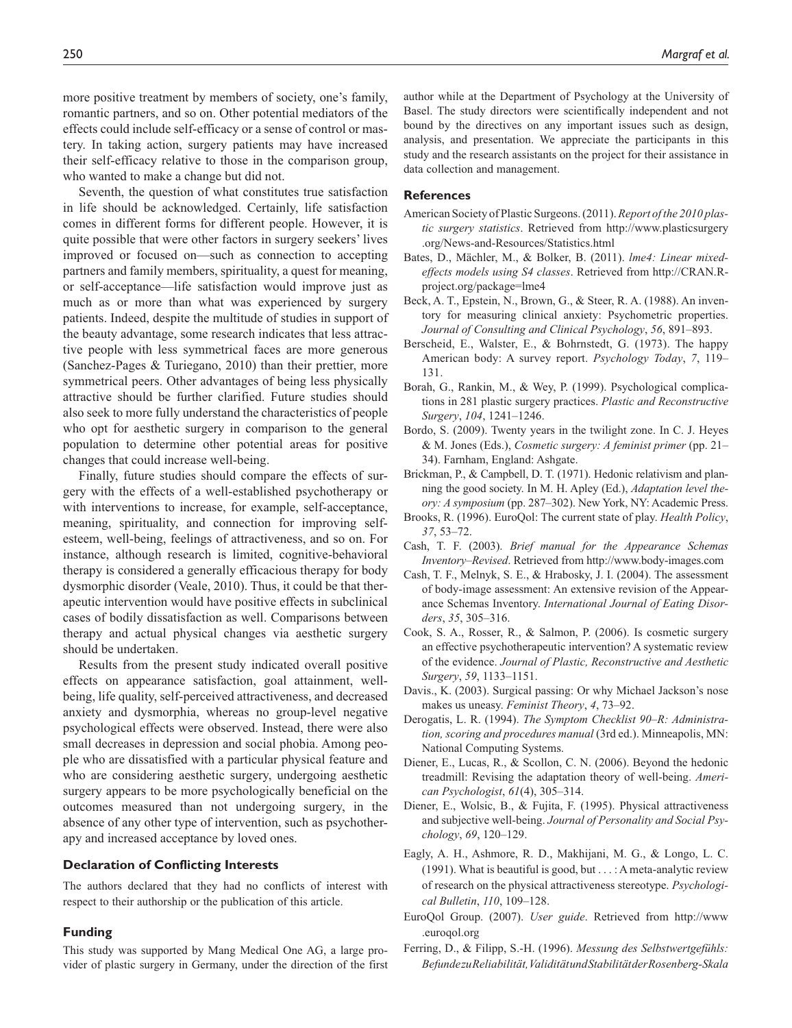more positive treatment by members of society, one's family, romantic partners, and so on. Other potential mediators of the effects could include self-efficacy or a sense of control or mastery. In taking action, surgery patients may have increased their self-efficacy relative to those in the comparison group, who wanted to make a change but did not.

Seventh, the question of what constitutes true satisfaction in life should be acknowledged. Certainly, life satisfaction comes in different forms for different people. However, it is quite possible that were other factors in surgery seekers' lives improved or focused on—such as connection to accepting partners and family members, spirituality, a quest for meaning, or self-acceptance—life satisfaction would improve just as much as or more than what was experienced by surgery patients. Indeed, despite the multitude of studies in support of the beauty advantage, some research indicates that less attractive people with less symmetrical faces are more generous (Sanchez-Pages & Turiegano, 2010) than their prettier, more symmetrical peers. Other advantages of being less physically attractive should be further clarified. Future studies should also seek to more fully understand the characteristics of people who opt for aesthetic surgery in comparison to the general population to determine other potential areas for positive changes that could increase well-being.

Finally, future studies should compare the effects of surgery with the effects of a well-established psychotherapy or with interventions to increase, for example, self-acceptance, meaning, spirituality, and connection for improving selfesteem, well-being, feelings of attractiveness, and so on. For instance, although research is limited, cognitive-behavioral therapy is considered a generally efficacious therapy for body dysmorphic disorder (Veale, 2010). Thus, it could be that therapeutic intervention would have positive effects in subclinical cases of bodily dissatisfaction as well. Comparisons between therapy and actual physical changes via aesthetic surgery should be undertaken.

Results from the present study indicated overall positive effects on appearance satisfaction, goal attainment, wellbeing, life quality, self-perceived attractiveness, and decreased anxiety and dysmorphia, whereas no group-level negative psychological effects were observed. Instead, there were also small decreases in depression and social phobia. Among people who are dissatisfied with a particular physical feature and who are considering aesthetic surgery, undergoing aesthetic surgery appears to be more psychologically beneficial on the outcomes measured than not undergoing surgery, in the absence of any other type of intervention, such as psychotherapy and increased acceptance by loved ones.

#### **Declaration of Conflicting Interests**

The authors declared that they had no conflicts of interest with respect to their authorship or the publication of this article.

#### **Funding**

This study was supported by Mang Medical One AG, a large provider of plastic surgery in Germany, under the direction of the first

author while at the Department of Psychology at the University of Basel. The study directors were scientifically independent and not bound by the directives on any important issues such as design, analysis, and presentation. We appreciate the participants in this study and the research assistants on the project for their assistance in data collection and management.

#### **References**

- American Society of Plastic Surgeons. (2011). *Report of the 2010 plastic surgery statistics*. Retrieved from http://www.plasticsurgery .org/News-and-Resources/Statistics.html
- Bates, D., Mächler, M., & Bolker, B. (2011). *lme4: Linear mixedeffects models using S4 classes*. Retrieved from http://CRAN.Rproject.org/package=lme4
- Beck, A. T., Epstein, N., Brown, G., & Steer, R. A. (1988). An inventory for measuring clinical anxiety: Psychometric properties. *Journal of Consulting and Clinical Psychology*, *56*, 891–893.
- Berscheid, E., Walster, E., & Bohrnstedt, G. (1973). The happy American body: A survey report. *Psychology Today*, *7*, 119– 131.
- Borah, G., Rankin, M., & Wey, P. (1999). Psychological complications in 281 plastic surgery practices. *Plastic and Reconstructive Surgery*, *104*, 1241–1246.
- Bordo, S. (2009). Twenty years in the twilight zone. In C. J. Heyes & M. Jones (Eds.), *Cosmetic surgery: A feminist primer* (pp. 21– 34). Farnham, England: Ashgate.
- Brickman, P., & Campbell, D. T. (1971). Hedonic relativism and planning the good society. In M. H. Apley (Ed.), *Adaptation level theory: A symposium* (pp. 287–302). New York, NY: Academic Press.
- Brooks, R. (1996). EuroQol: The current state of play. *Health Policy*, *37*, 53–72.
- Cash, T. F. (2003). *Brief manual for the Appearance Schemas Inventory–Revised*. Retrieved from http://www.body-images.com
- Cash, T. F., Melnyk, S. E., & Hrabosky, J. I. (2004). The assessment of body-image assessment: An extensive revision of the Appearance Schemas Inventory. *International Journal of Eating Disorders*, *35*, 305–316.
- Cook, S. A., Rosser, R., & Salmon, P. (2006). Is cosmetic surgery an effective psychotherapeutic intervention? A systematic review of the evidence. *Journal of Plastic, Reconstructive and Aesthetic Surgery*, *59*, 1133–1151.
- Davis., K. (2003). Surgical passing: Or why Michael Jackson's nose makes us uneasy. *Feminist Theory*, *4*, 73–92.
- Derogatis, L. R. (1994). *The Symptom Checklist 90–R: Administration, scoring and procedures manual* (3rd ed.). Minneapolis, MN: National Computing Systems.
- Diener, E., Lucas, R., & Scollon, C. N. (2006). Beyond the hedonic treadmill: Revising the adaptation theory of well-being. *American Psychologist*, *61*(4), 305–314.
- Diener, E., Wolsic, B., & Fujita, F. (1995). Physical attractiveness and subjective well-being. *Journal of Personality and Social Psychology*, *69*, 120–129.
- Eagly, A. H., Ashmore, R. D., Makhijani, M. G., & Longo, L. C. (1991). What is beautiful is good, but . . . : A meta-analytic review of research on the physical attractiveness stereotype. *Psychological Bulletin*, *110*, 109–128.
- EuroQol Group. (2007). *User guide*. Retrieved from http://www .euroqol.org
- Ferring, D., & Filipp, S.-H. (1996). *Messung des Selbstwertgefühls: Befunde zu Reliabilität, Validität und Stabilität der Rosenberg-Skala*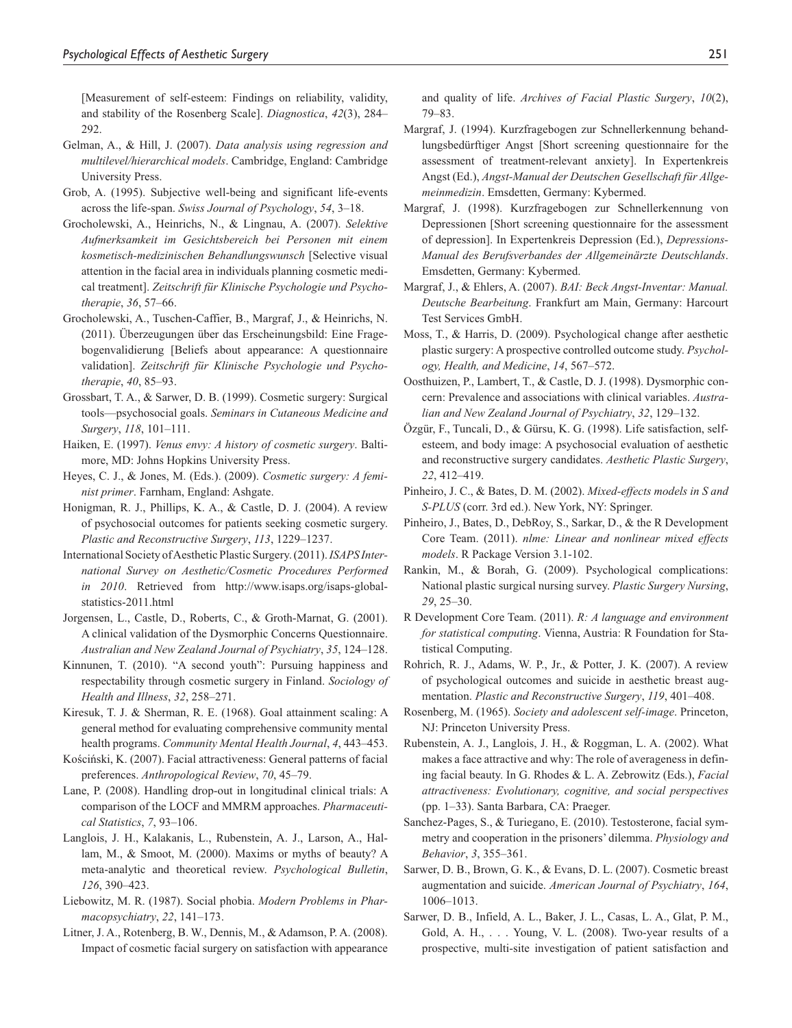[Measurement of self-esteem: Findings on reliability, validity, and stability of the Rosenberg Scale]. *Diagnostica*, *42*(3), 284– 292.

- Gelman, A., & Hill, J. (2007). *Data analysis using regression and multilevel/hierarchical models*. Cambridge, England: Cambridge University Press.
- Grob, A. (1995). Subjective well-being and significant life-events across the life-span. *Swiss Journal of Psychology*, *54*, 3–18.
- Grocholewski, A., Heinrichs, N., & Lingnau, A. (2007). *Selektive Aufmerksamkeit im Gesichtsbereich bei Personen mit einem kosmetisch-medizinischen Behandlungswunsch* [Selective visual attention in the facial area in individuals planning cosmetic medical treatment]. *Zeitschrift für Klinische Psychologie und Psychotherapie*, *36*, 57–66.
- Grocholewski, A., Tuschen-Caffier, B., Margraf, J., & Heinrichs, N. (2011). Überzeugungen über das Erscheinungsbild: Eine Fragebogenvalidierung [Beliefs about appearance: A questionnaire validation]. *Zeitschrift für Klinische Psychologie und Psychotherapie*, *40*, 85–93.
- Grossbart, T. A., & Sarwer, D. B. (1999). Cosmetic surgery: Surgical tools—psychosocial goals. *Seminars in Cutaneous Medicine and Surgery*, *118*, 101–111.
- Haiken, E. (1997). *Venus envy: A history of cosmetic surgery*. Baltimore, MD: Johns Hopkins University Press.
- Heyes, C. J., & Jones, M. (Eds.). (2009). *Cosmetic surgery: A feminist primer*. Farnham, England: Ashgate.
- Honigman, R. J., Phillips, K. A., & Castle, D. J. (2004). A review of psychosocial outcomes for patients seeking cosmetic surgery. *Plastic and Reconstructive Surgery*, *113*, 1229–1237.
- International Society of Aesthetic Plastic Surgery. (2011). *ISAPS International Survey on Aesthetic/Cosmetic Procedures Performed in 2010*. Retrieved from http://www.isaps.org/isaps-globalstatistics-2011.html
- Jorgensen, L., Castle, D., Roberts, C., & Groth-Marnat, G. (2001). A clinical validation of the Dysmorphic Concerns Questionnaire. *Australian and New Zealand Journal of Psychiatry*, *35*, 124–128.
- Kinnunen, T. (2010). "A second youth": Pursuing happiness and respectability through cosmetic surgery in Finland. *Sociology of Health and Illness*, *32*, 258–271.
- Kiresuk, T. J. & Sherman, R. E. (1968). Goal attainment scaling: A general method for evaluating comprehensive community mental health programs. *Community Mental Health Journal*, *4*, 443–453.
- Kościński, K. (2007). Facial attractiveness: General patterns of facial preferences. *Anthropological Review*, *70*, 45–79.
- Lane, P. (2008). Handling drop-out in longitudinal clinical trials: A comparison of the LOCF and MMRM approaches. *Pharmaceutical Statistics*, *7*, 93–106.
- Langlois, J. H., Kalakanis, L., Rubenstein, A. J., Larson, A., Hallam, M., & Smoot, M. (2000). Maxims or myths of beauty? A meta-analytic and theoretical review. *Psychological Bulletin*, *126*, 390–423.
- Liebowitz, M. R. (1987). Social phobia. *Modern Problems in Pharmacopsychiatry*, *22*, 141–173.
- Litner, J. A., Rotenberg, B. W., Dennis, M., & Adamson, P. A. (2008). Impact of cosmetic facial surgery on satisfaction with appearance

and quality of life. *Archives of Facial Plastic Surgery*, *10*(2), 79–83.

- Margraf, J. (1994). Kurzfragebogen zur Schnellerkennung behandlungsbedürftiger Angst [Short screening questionnaire for the assessment of treatment-relevant anxiety]. In Expertenkreis Angst (Ed.), *Angst-Manual der Deutschen Gesellschaft für Allgemeinmedizin*. Emsdetten, Germany: Kybermed.
- Margraf, J. (1998). Kurzfragebogen zur Schnellerkennung von Depressionen [Short screening questionnaire for the assessment of depression]. In Expertenkreis Depression (Ed.), *Depressions-Manual des Berufsverbandes der Allgemeinärzte Deutschlands*. Emsdetten, Germany: Kybermed.
- Margraf, J., & Ehlers, A. (2007). *BAI: Beck Angst-Inventar: Manual. Deutsche Bearbeitung*. Frankfurt am Main, Germany: Harcourt Test Services GmbH.
- Moss, T., & Harris, D. (2009). Psychological change after aesthetic plastic surgery: A prospective controlled outcome study. *Psychology, Health, and Medicine*, *14*, 567–572.
- Oosthuizen, P., Lambert, T., & Castle, D. J. (1998). Dysmorphic concern: Prevalence and associations with clinical variables. *Australian and New Zealand Journal of Psychiatry*, *32*, 129–132.
- Özgür, F., Tuncali, D., & Gürsu, K. G. (1998). Life satisfaction, selfesteem, and body image: A psychosocial evaluation of aesthetic and reconstructive surgery candidates. *Aesthetic Plastic Surgery*, *22*, 412–419.
- Pinheiro, J. C., & Bates, D. M. (2002). *Mixed-effects models in S and S-PLUS* (corr. 3rd ed.). New York, NY: Springer.
- Pinheiro, J., Bates, D., DebRoy, S., Sarkar, D., & the R Development Core Team. (2011). *nlme: Linear and nonlinear mixed effects models*. R Package Version 3.1-102.
- Rankin, M., & Borah, G. (2009). Psychological complications: National plastic surgical nursing survey. *Plastic Surgery Nursing*, *29*, 25–30.
- R Development Core Team. (2011). *R: A language and environment for statistical computing*. Vienna, Austria: R Foundation for Statistical Computing.
- Rohrich, R. J., Adams, W. P., Jr., & Potter, J. K. (2007). A review of psychological outcomes and suicide in aesthetic breast augmentation. *Plastic and Reconstructive Surgery*, *119*, 401–408.
- Rosenberg, M. (1965). *Society and adolescent self-image*. Princeton, NJ: Princeton University Press.
- Rubenstein, A. J., Langlois, J. H., & Roggman, L. A. (2002). What makes a face attractive and why: The role of averageness in defining facial beauty. In G. Rhodes & L. A. Zebrowitz (Eds.), *Facial attractiveness: Evolutionary, cognitive, and social perspectives* (pp. 1–33). Santa Barbara, CA: Praeger.
- Sanchez-Pages, S., & Turiegano, E. (2010). Testosterone, facial symmetry and cooperation in the prisoners' dilemma. *Physiology and Behavior*, *3*, 355–361.
- Sarwer, D. B., Brown, G. K., & Evans, D. L. (2007). Cosmetic breast augmentation and suicide. *American Journal of Psychiatry*, *164*, 1006–1013.
- Sarwer, D. B., Infield, A. L., Baker, J. L., Casas, L. A., Glat, P. M., Gold, A. H., . . . Young, V. L. (2008). Two-year results of a prospective, multi-site investigation of patient satisfaction and